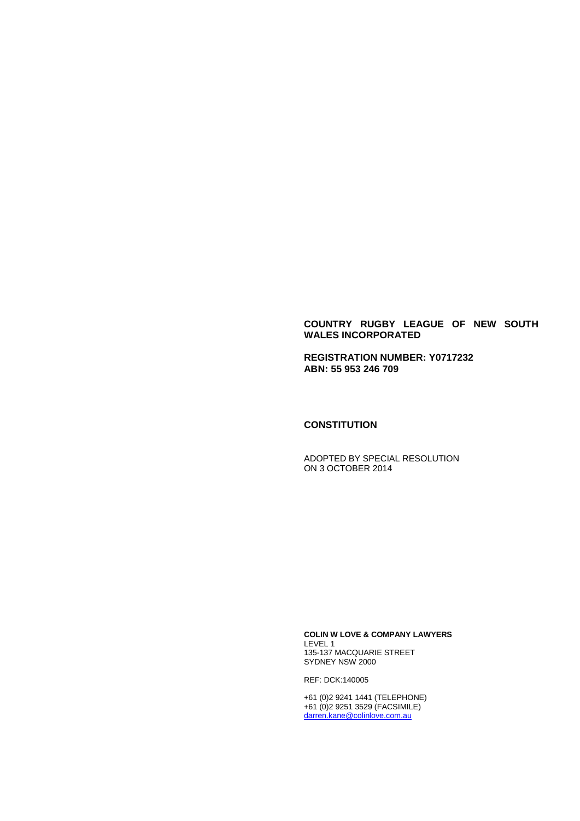#### **COUNTRY RUGBY LEAGUE OF NEW SOUTH WALES INCORPORATED**

**REGISTRATION NUMBER: Y0717232 ABN: 55 953 246 709**

#### **CONSTITUTION**

ADOPTED BY SPECIAL RESOLUTION ON 3 OCTOBER 2014

**COLIN W LOVE & COMPANY LAWYERS** LEVEL 1 135-137 MACQUARIE STREET SYDNEY NSW 2000

REF: DCK:140005

+61 (0)2 9241 1441 (TELEPHONE) +61 (0)2 9251 3529 (FACSIMILE) [darren.kane@colinlove.com.au](mailto:darren.kane@colinlove.com.au)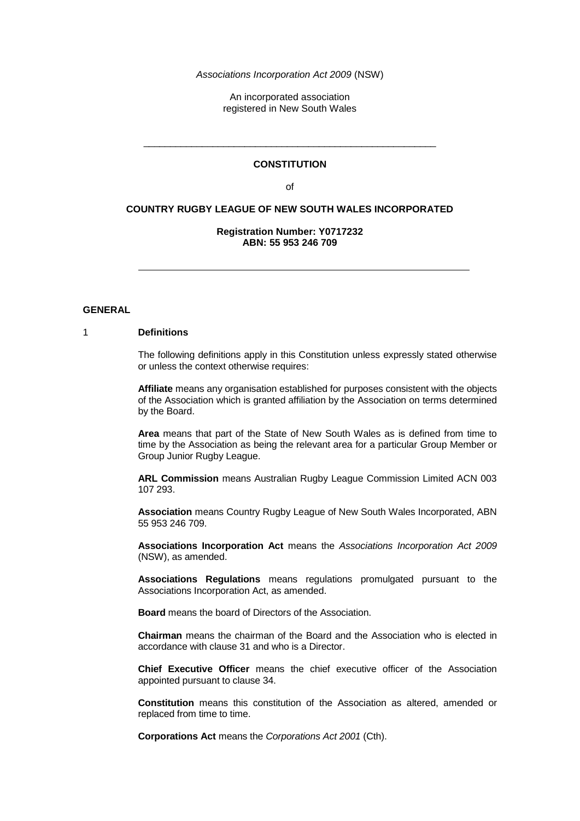*Associations Incorporation Act 2009* (NSW)

An incorporated association registered in New South Wales

#### **CONSTITUTION**

\_\_\_\_\_\_\_\_\_\_\_\_\_\_\_\_\_\_\_\_\_\_\_\_\_\_\_\_\_\_\_\_\_\_\_\_\_\_\_\_\_\_\_\_\_\_\_\_\_\_\_\_\_\_\_

of

### **COUNTRY RUGBY LEAGUE OF NEW SOUTH WALES INCORPORATED**

#### **Registration Number: Y0717232 ABN: 55 953 246 709**

#### **GENERAL**

## 1 **Definitions**

The following definitions apply in this Constitution unless expressly stated otherwise or unless the context otherwise requires:

**Affiliate** means any organisation established for purposes consistent with the objects of the Association which is granted affiliation by the Association on terms determined by the Board.

**Area** means that part of the State of New South Wales as is defined from time to time by the Association as being the relevant area for a particular Group Member or Group Junior Rugby League.

**ARL Commission** means Australian Rugby League Commission Limited ACN 003 107 293.

**Association** means Country Rugby League of New South Wales Incorporated, ABN 55 953 246 709.

**Associations Incorporation Act** means the *Associations Incorporation Act 2009* (NSW), as amended.

**Associations Regulations** means regulations promulgated pursuant to the Associations Incorporation Act, as amended.

**Board** means the board of Directors of the Association.

**Chairman** means the chairman of the Board and the Association who is elected in accordance with clause 31 and who is a Director.

**Chief Executive Officer** means the chief executive officer of the Association appointed pursuant to clause 34.

**Constitution** means this constitution of the Association as altered, amended or replaced from time to time.

**Corporations Act** means the *Corporations Act 2001* (Cth).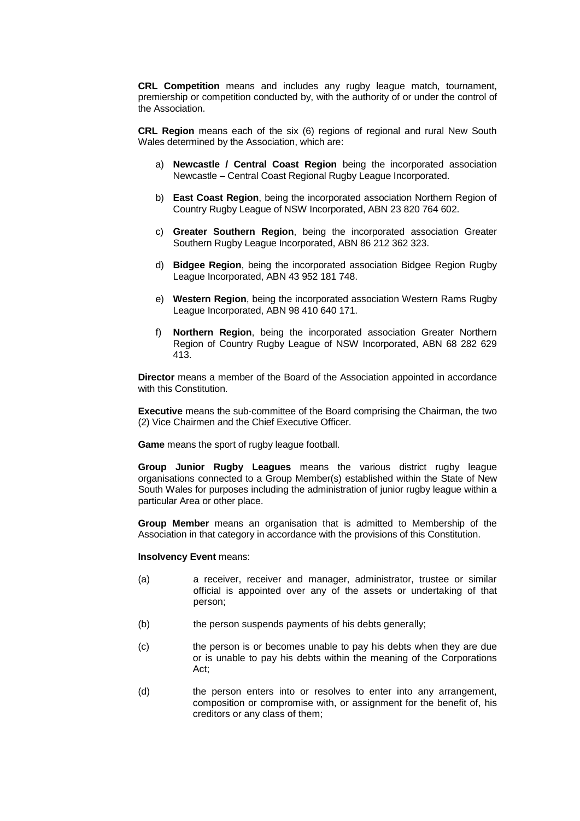**CRL Competition** means and includes any rugby league match, tournament, premiership or competition conducted by, with the authority of or under the control of the Association.

**CRL Region** means each of the six (6) regions of regional and rural New South Wales determined by the Association, which are:

- a) **Newcastle / Central Coast Region** being the incorporated association Newcastle – Central Coast Regional Rugby League Incorporated.
- b) **East Coast Region**, being the incorporated association Northern Region of Country Rugby League of NSW Incorporated, ABN 23 820 764 602.
- c) **Greater Southern Region**, being the incorporated association Greater Southern Rugby League Incorporated, ABN 86 212 362 323.
- d) **Bidgee Region**, being the incorporated association Bidgee Region Rugby League Incorporated, ABN 43 952 181 748.
- e) **Western Region**, being the incorporated association Western Rams Rugby League Incorporated, ABN 98 410 640 171.
- f) **Northern Region**, being the incorporated association Greater Northern Region of Country Rugby League of NSW Incorporated, ABN 68 282 629 413.

**Director** means a member of the Board of the Association appointed in accordance with this Constitution.

**Executive** means the sub-committee of the Board comprising the Chairman, the two (2) Vice Chairmen and the Chief Executive Officer.

**Game** means the sport of rugby league football.

**Group Junior Rugby Leagues** means the various district rugby league organisations connected to a Group Member(s) established within the State of New South Wales for purposes including the administration of junior rugby league within a particular Area or other place.

**Group Member** means an organisation that is admitted to Membership of the Association in that category in accordance with the provisions of this Constitution.

#### **Insolvency Event** means:

- (a) a receiver, receiver and manager, administrator, trustee or similar official is appointed over any of the assets or undertaking of that person;
- (b) the person suspends payments of his debts generally;
- (c) the person is or becomes unable to pay his debts when they are due or is unable to pay his debts within the meaning of the Corporations Act;
- (d) the person enters into or resolves to enter into any arrangement, composition or compromise with, or assignment for the benefit of, his creditors or any class of them;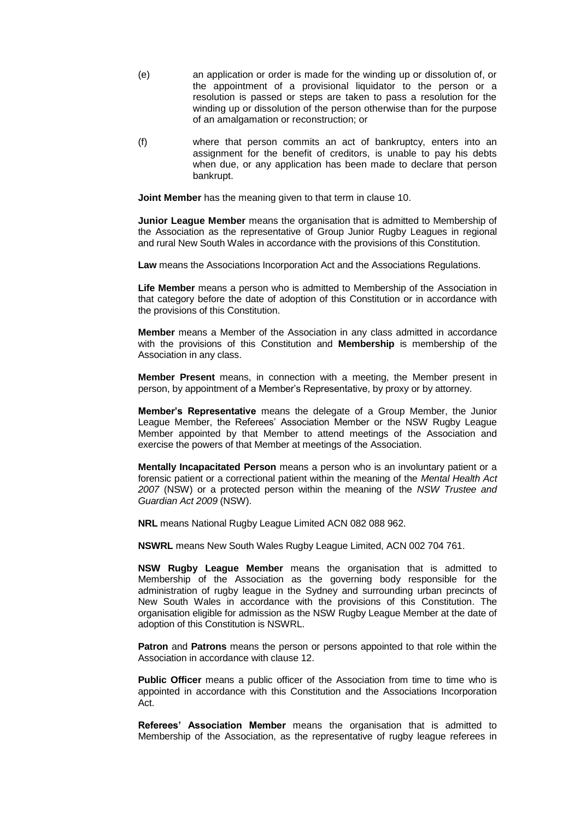- (e) an application or order is made for the winding up or dissolution of, or the appointment of a provisional liquidator to the person or a resolution is passed or steps are taken to pass a resolution for the winding up or dissolution of the person otherwise than for the purpose of an amalgamation or reconstruction; or
- (f) where that person commits an act of bankruptcy, enters into an assignment for the benefit of creditors, is unable to pay his debts when due, or any application has been made to declare that person bankrupt.

**Joint Member** has the meaning given to that term in clause 10.

**Junior League Member** means the organisation that is admitted to Membership of the Association as the representative of Group Junior Rugby Leagues in regional and rural New South Wales in accordance with the provisions of this Constitution.

**Law** means the Associations Incorporation Act and the Associations Regulations.

**Life Member** means a person who is admitted to Membership of the Association in that category before the date of adoption of this Constitution or in accordance with the provisions of this Constitution.

**Member** means a Member of the Association in any class admitted in accordance with the provisions of this Constitution and **Membership** is membership of the Association in any class.

**Member Present** means, in connection with a meeting, the Member present in person, by appointment of a Member's Representative, by proxy or by attorney.

**Member's Representative** means the delegate of a Group Member, the Junior League Member, the Referees' Association Member or the NSW Rugby League Member appointed by that Member to attend meetings of the Association and exercise the powers of that Member at meetings of the Association.

**Mentally Incapacitated Person** means a person who is an involuntary patient or a forensic patient or a correctional patient within the meaning of the *Mental Health Act 2007* (NSW) or a protected person within the meaning of the *NSW Trustee and Guardian Act 2009* (NSW).

**NRL** means National Rugby League Limited ACN 082 088 962.

**NSWRL** means New South Wales Rugby League Limited, ACN 002 704 761.

**NSW Rugby League Member** means the organisation that is admitted to Membership of the Association as the governing body responsible for the administration of rugby league in the Sydney and surrounding urban precincts of New South Wales in accordance with the provisions of this Constitution. The organisation eligible for admission as the NSW Rugby League Member at the date of adoption of this Constitution is NSWRL.

**Patron** and **Patrons** means the person or persons appointed to that role within the Association in accordance with clause 12.

**Public Officer** means a public officer of the Association from time to time who is appointed in accordance with this Constitution and the Associations Incorporation Act.

**Referees' Association Member** means the organisation that is admitted to Membership of the Association, as the representative of rugby league referees in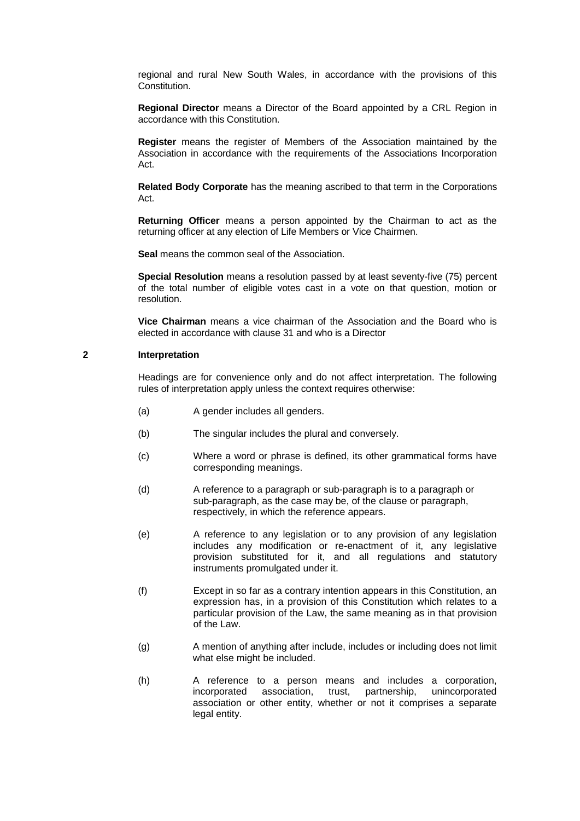regional and rural New South Wales, in accordance with the provisions of this **Constitution** 

**Regional Director** means a Director of the Board appointed by a CRL Region in accordance with this Constitution.

**Register** means the register of Members of the Association maintained by the Association in accordance with the requirements of the Associations Incorporation Act.

**Related Body Corporate** has the meaning ascribed to that term in the Corporations Act.

**Returning Officer** means a person appointed by the Chairman to act as the returning officer at any election of Life Members or Vice Chairmen.

**Seal** means the common seal of the Association.

**Special Resolution** means a resolution passed by at least seventy-five (75) percent of the total number of eligible votes cast in a vote on that question, motion or resolution.

**Vice Chairman** means a vice chairman of the Association and the Board who is elected in accordance with clause 31 and who is a Director

#### **2 Interpretation**

Headings are for convenience only and do not affect interpretation. The following rules of interpretation apply unless the context requires otherwise:

- (a) A gender includes all genders.
- (b) The singular includes the plural and conversely.
- (c) Where a word or phrase is defined, its other grammatical forms have corresponding meanings.
- (d) A reference to a paragraph or sub-paragraph is to a paragraph or sub-paragraph, as the case may be, of the clause or paragraph, respectively, in which the reference appears.
- (e) A reference to any legislation or to any provision of any legislation includes any modification or re-enactment of it, any legislative provision substituted for it, and all regulations and statutory instruments promulgated under it.
- (f) Except in so far as a contrary intention appears in this Constitution, an expression has, in a provision of this Constitution which relates to a particular provision of the Law, the same meaning as in that provision of the Law.
- (g) A mention of anything after include, includes or including does not limit what else might be included.
- (h) A reference to a person means and includes a corporation, incorporated association, trust, partnership, unincorporated association or other entity, whether or not it comprises a separate legal entity.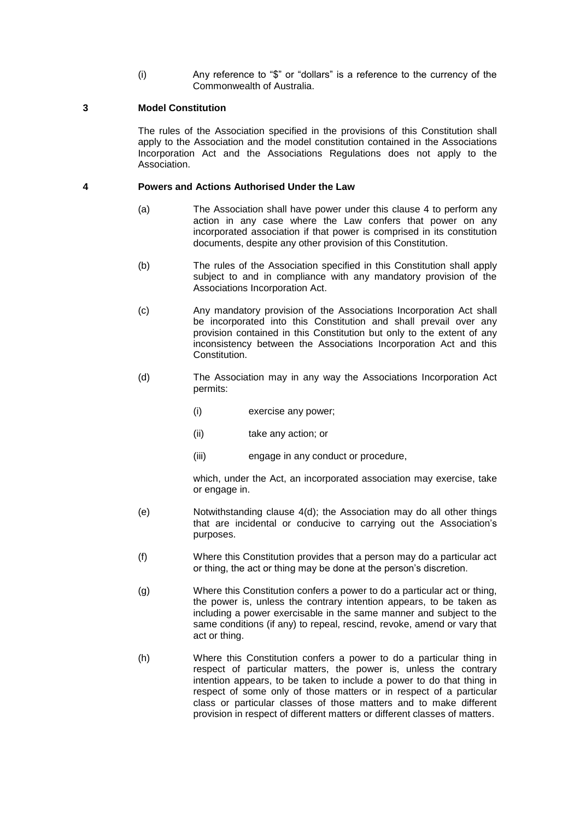(i) Any reference to "\$" or "dollars" is a reference to the currency of the Commonwealth of Australia.

### **3 Model Constitution**

The rules of the Association specified in the provisions of this Constitution shall apply to the Association and the model constitution contained in the Associations Incorporation Act and the Associations Regulations does not apply to the Association.

### **4 Powers and Actions Authorised Under the Law**

- (a) The Association shall have power under this clause 4 to perform any action in any case where the Law confers that power on any incorporated association if that power is comprised in its constitution documents, despite any other provision of this Constitution.
- (b) The rules of the Association specified in this Constitution shall apply subject to and in compliance with any mandatory provision of the Associations Incorporation Act.
- (c) Any mandatory provision of the Associations Incorporation Act shall be incorporated into this Constitution and shall prevail over any provision contained in this Constitution but only to the extent of any inconsistency between the Associations Incorporation Act and this Constitution.
- (d) The Association may in any way the Associations Incorporation Act permits:
	- (i) exercise any power;
	- (ii) take any action; or
	- (iii) engage in any conduct or procedure,

which, under the Act, an incorporated association may exercise, take or engage in.

- (e) Notwithstanding clause 4(d); the Association may do all other things that are incidental or conducive to carrying out the Association's purposes.
- (f) Where this Constitution provides that a person may do a particular act or thing, the act or thing may be done at the person's discretion.
- (g) Where this Constitution confers a power to do a particular act or thing, the power is, unless the contrary intention appears, to be taken as including a power exercisable in the same manner and subject to the same conditions (if any) to repeal, rescind, revoke, amend or vary that act or thing.
- (h) Where this Constitution confers a power to do a particular thing in respect of particular matters, the power is, unless the contrary intention appears, to be taken to include a power to do that thing in respect of some only of those matters or in respect of a particular class or particular classes of those matters and to make different provision in respect of different matters or different classes of matters.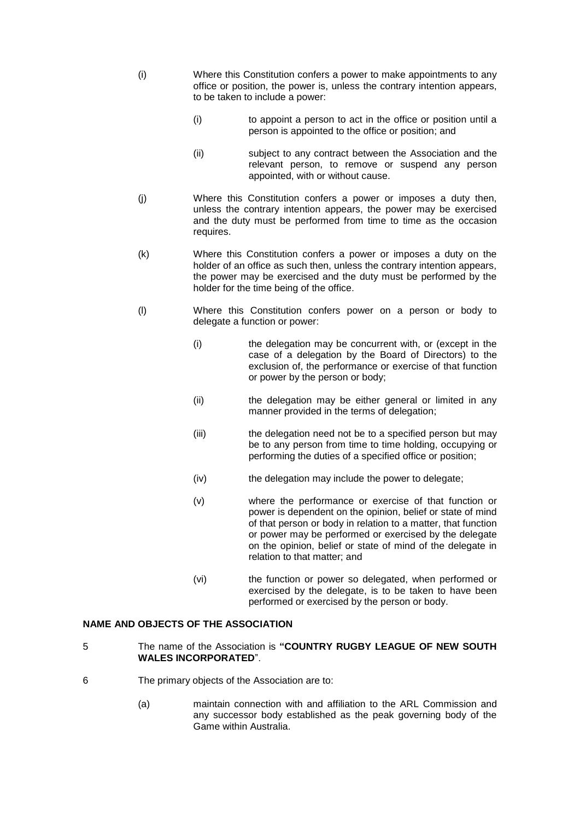- (i) Where this Constitution confers a power to make appointments to any office or position, the power is, unless the contrary intention appears, to be taken to include a power:
	- (i) to appoint a person to act in the office or position until a person is appointed to the office or position; and
	- (ii) subject to any contract between the Association and the relevant person, to remove or suspend any person appointed, with or without cause.
- (j) Where this Constitution confers a power or imposes a duty then, unless the contrary intention appears, the power may be exercised and the duty must be performed from time to time as the occasion requires.
- (k) Where this Constitution confers a power or imposes a duty on the holder of an office as such then, unless the contrary intention appears, the power may be exercised and the duty must be performed by the holder for the time being of the office.
- (l) Where this Constitution confers power on a person or body to delegate a function or power:
	- (i) the delegation may be concurrent with, or (except in the case of a delegation by the Board of Directors) to the exclusion of, the performance or exercise of that function or power by the person or body;
	- (ii) the delegation may be either general or limited in any manner provided in the terms of delegation;
	- (iii) the delegation need not be to a specified person but may be to any person from time to time holding, occupying or performing the duties of a specified office or position;
	- (iv) the delegation may include the power to delegate;
	- (v) where the performance or exercise of that function or power is dependent on the opinion, belief or state of mind of that person or body in relation to a matter, that function or power may be performed or exercised by the delegate on the opinion, belief or state of mind of the delegate in relation to that matter; and
	- (vi) the function or power so delegated, when performed or exercised by the delegate, is to be taken to have been performed or exercised by the person or body.

# **NAME AND OBJECTS OF THE ASSOCIATION**

- 5 The name of the Association is **"COUNTRY RUGBY LEAGUE OF NEW SOUTH WALES INCORPORATED**".
- 6 The primary objects of the Association are to:
	- (a) maintain connection with and affiliation to the ARL Commission and any successor body established as the peak governing body of the Game within Australia.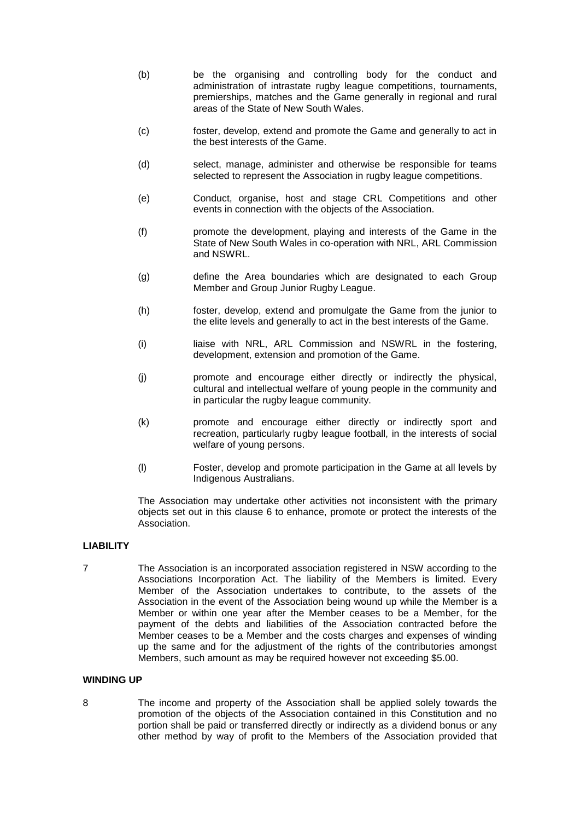- (b) be the organising and controlling body for the conduct and administration of intrastate rugby league competitions, tournaments, premierships, matches and the Game generally in regional and rural areas of the State of New South Wales.
- (c) foster, develop, extend and promote the Game and generally to act in the best interests of the Game.
- (d) select, manage, administer and otherwise be responsible for teams selected to represent the Association in rugby league competitions.
- (e) Conduct, organise, host and stage CRL Competitions and other events in connection with the objects of the Association.
- (f) promote the development, playing and interests of the Game in the State of New South Wales in co-operation with NRL, ARL Commission and NSWRL.
- (g) define the Area boundaries which are designated to each Group Member and Group Junior Rugby League.
- (h) foster, develop, extend and promulgate the Game from the junior to the elite levels and generally to act in the best interests of the Game.
- (i) liaise with NRL, ARL Commission and NSWRL in the fostering, development, extension and promotion of the Game.
- (j) promote and encourage either directly or indirectly the physical, cultural and intellectual welfare of young people in the community and in particular the rugby league community.
- (k) promote and encourage either directly or indirectly sport and recreation, particularly rugby league football, in the interests of social welfare of young persons.
- (l) Foster, develop and promote participation in the Game at all levels by Indigenous Australians.

The Association may undertake other activities not inconsistent with the primary objects set out in this clause 6 to enhance, promote or protect the interests of the Association.

#### **LIABILITY**

7 The Association is an incorporated association registered in NSW according to the Associations Incorporation Act. The liability of the Members is limited. Every Member of the Association undertakes to contribute, to the assets of the Association in the event of the Association being wound up while the Member is a Member or within one year after the Member ceases to be a Member, for the payment of the debts and liabilities of the Association contracted before the Member ceases to be a Member and the costs charges and expenses of winding up the same and for the adjustment of the rights of the contributories amongst Members, such amount as may be required however not exceeding \$5.00.

## **WINDING UP**

8 The income and property of the Association shall be applied solely towards the promotion of the objects of the Association contained in this Constitution and no portion shall be paid or transferred directly or indirectly as a dividend bonus or any other method by way of profit to the Members of the Association provided that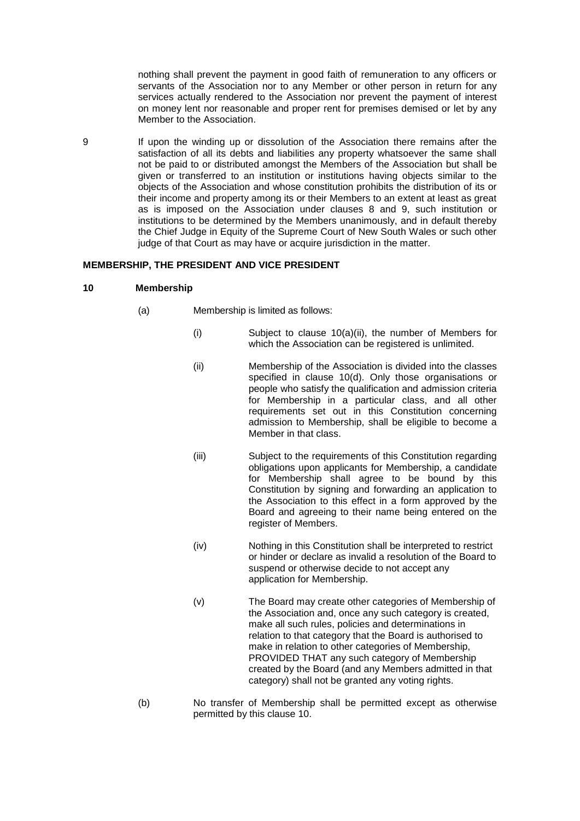nothing shall prevent the payment in good faith of remuneration to any officers or servants of the Association nor to any Member or other person in return for any services actually rendered to the Association nor prevent the payment of interest on money lent nor reasonable and proper rent for premises demised or let by any Member to the Association.

9 If upon the winding up or dissolution of the Association there remains after the satisfaction of all its debts and liabilities any property whatsoever the same shall not be paid to or distributed amongst the Members of the Association but shall be given or transferred to an institution or institutions having objects similar to the objects of the Association and whose constitution prohibits the distribution of its or their income and property among its or their Members to an extent at least as great as is imposed on the Association under clauses 8 and 9, such institution or institutions to be determined by the Members unanimously, and in default thereby the Chief Judge in Equity of the Supreme Court of New South Wales or such other judge of that Court as may have or acquire jurisdiction in the matter.

#### **MEMBERSHIP, THE PRESIDENT AND VICE PRESIDENT**

#### **10 Membership**

- (a) Membership is limited as follows:
	- (i) Subject to clause 10(a)(ii), the number of Members for which the Association can be registered is unlimited.
	- (ii) Membership of the Association is divided into the classes specified in clause 10(d). Only those organisations or people who satisfy the qualification and admission criteria for Membership in a particular class, and all other requirements set out in this Constitution concerning admission to Membership, shall be eligible to become a Member in that class.
	- (iii) Subject to the requirements of this Constitution regarding obligations upon applicants for Membership, a candidate for Membership shall agree to be bound by this Constitution by signing and forwarding an application to the Association to this effect in a form approved by the Board and agreeing to their name being entered on the register of Members.
	- (iv) Nothing in this Constitution shall be interpreted to restrict or hinder or declare as invalid a resolution of the Board to suspend or otherwise decide to not accept any application for Membership.
	- (v) The Board may create other categories of Membership of the Association and, once any such category is created, make all such rules, policies and determinations in relation to that category that the Board is authorised to make in relation to other categories of Membership, PROVIDED THAT any such category of Membership created by the Board (and any Members admitted in that category) shall not be granted any voting rights.
- (b) No transfer of Membership shall be permitted except as otherwise permitted by this clause 10.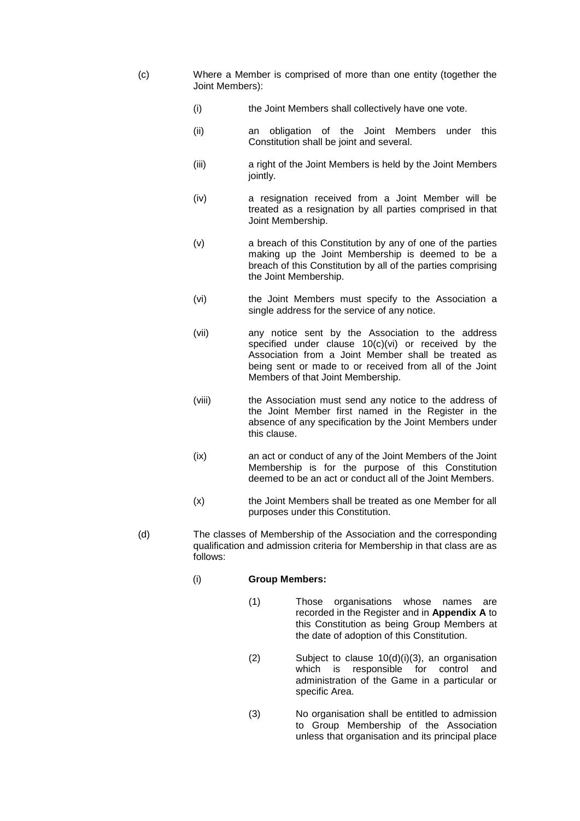- (c) Where a Member is comprised of more than one entity (together the Joint Members):
	- (i) the Joint Members shall collectively have one vote.
	- (ii) an obligation of the Joint Members under this Constitution shall be joint and several.
	- (iii) a right of the Joint Members is held by the Joint Members jointly.
	- (iv) a resignation received from a Joint Member will be treated as a resignation by all parties comprised in that Joint Membership.
	- (v) a breach of this Constitution by any of one of the parties making up the Joint Membership is deemed to be a breach of this Constitution by all of the parties comprising the Joint Membership.
	- (vi) the Joint Members must specify to the Association a single address for the service of any notice.
	- (vii) any notice sent by the Association to the address specified under clause  $10(c)(vi)$  or received by the Association from a Joint Member shall be treated as being sent or made to or received from all of the Joint Members of that Joint Membership.
	- (viii) the Association must send any notice to the address of the Joint Member first named in the Register in the absence of any specification by the Joint Members under this clause.
	- (ix) an act or conduct of any of the Joint Members of the Joint Membership is for the purpose of this Constitution deemed to be an act or conduct all of the Joint Members.
	- (x) the Joint Members shall be treated as one Member for all purposes under this Constitution.
- (d) The classes of Membership of the Association and the corresponding qualification and admission criteria for Membership in that class are as follows:
	- (i) **Group Members:**
		- (1) Those organisations whose names are recorded in the Register and in **Appendix A** to this Constitution as being Group Members at the date of adoption of this Constitution.
		- (2) Subject to clause  $10(d)(i)(3)$ , an organisation which is responsible for control and which is responsible for control and administration of the Game in a particular or specific Area.
		- (3) No organisation shall be entitled to admission to Group Membership of the Association unless that organisation and its principal place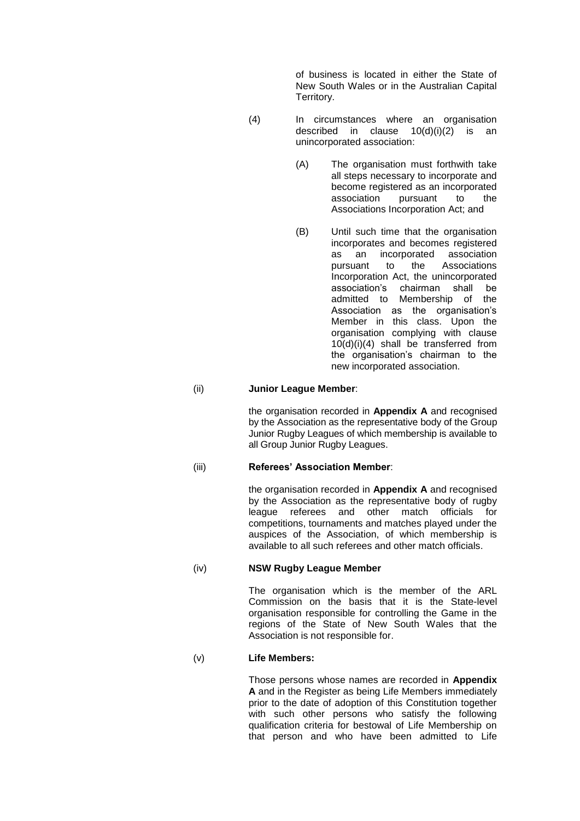of business is located in either the State of New South Wales or in the Australian Capital Territory.

- (4) In circumstances where an organisation described in clause 10(d)(i)(2) is an unincorporated association:
	- (A) The organisation must forthwith take all steps necessary to incorporate and become registered as an incorporated association pursuant to the Associations Incorporation Act; and
	- (B) Until such time that the organisation incorporates and becomes registered as an incorporated association pursuant to the Associations Incorporation Act, the unincorporated association's chairman shall be admitted to Membership of the Association as the organisation's Member in this class. Upon the organisation complying with clause 10(d)(i)(4) shall be transferred from the organisation's chairman to the new incorporated association.

### (ii) **Junior League Member**:

the organisation recorded in **Appendix A** and recognised by the Association as the representative body of the Group Junior Rugby Leagues of which membership is available to all Group Junior Rugby Leagues.

### (iii) **Referees' Association Member**:

the organisation recorded in **Appendix A** and recognised by the Association as the representative body of rugby league referees and other match officials for competitions, tournaments and matches played under the auspices of the Association, of which membership is available to all such referees and other match officials.

#### (iv) **NSW Rugby League Member**

The organisation which is the member of the ARL Commission on the basis that it is the State-level organisation responsible for controlling the Game in the regions of the State of New South Wales that the Association is not responsible for.

### (v) **Life Members:**

Those persons whose names are recorded in **Appendix A** and in the Register as being Life Members immediately prior to the date of adoption of this Constitution together with such other persons who satisfy the following qualification criteria for bestowal of Life Membership on that person and who have been admitted to Life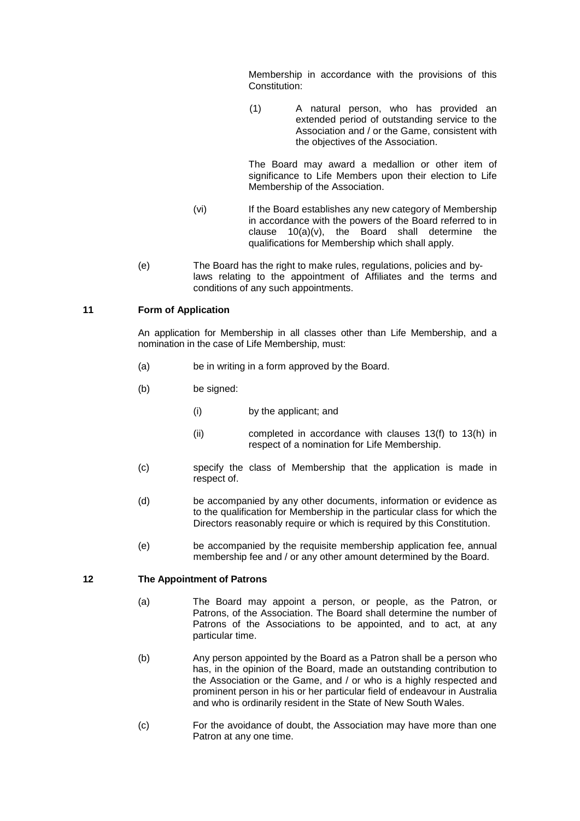Membership in accordance with the provisions of this Constitution:

(1) A natural person, who has provided an extended period of outstanding service to the Association and / or the Game, consistent with the objectives of the Association.

The Board may award a medallion or other item of significance to Life Members upon their election to Life Membership of the Association.

- (vi) If the Board establishes any new category of Membership in accordance with the powers of the Board referred to in clause 10(a)(v), the Board shall determine the qualifications for Membership which shall apply.
- (e) The Board has the right to make rules, regulations, policies and bylaws relating to the appointment of Affiliates and the terms and conditions of any such appointments.

### **11 Form of Application**

An application for Membership in all classes other than Life Membership, and a nomination in the case of Life Membership, must:

- (a) be in writing in a form approved by the Board.
- (b) be signed:
	- (i) by the applicant; and
	- (ii) completed in accordance with clauses 13(f) to 13(h) in respect of a nomination for Life Membership.
- (c) specify the class of Membership that the application is made in respect of.
- (d) be accompanied by any other documents, information or evidence as to the qualification for Membership in the particular class for which the Directors reasonably require or which is required by this Constitution.
- (e) be accompanied by the requisite membership application fee, annual membership fee and / or any other amount determined by the Board.

#### **12 The Appointment of Patrons**

- (a) The Board may appoint a person, or people, as the Patron, or Patrons, of the Association. The Board shall determine the number of Patrons of the Associations to be appointed, and to act, at any particular time.
- (b) Any person appointed by the Board as a Patron shall be a person who has, in the opinion of the Board, made an outstanding contribution to the Association or the Game, and / or who is a highly respected and prominent person in his or her particular field of endeavour in Australia and who is ordinarily resident in the State of New South Wales.
- (c) For the avoidance of doubt, the Association may have more than one Patron at any one time.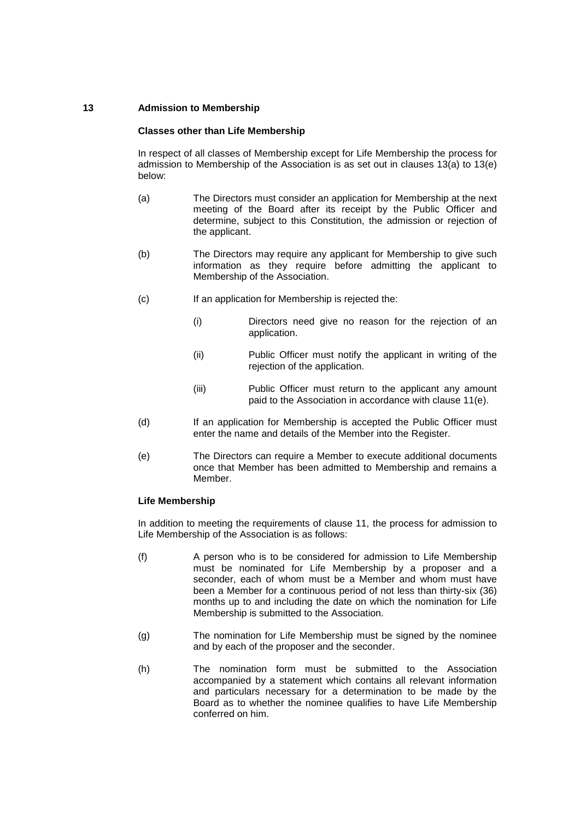# **13 Admission to Membership**

### **Classes other than Life Membership**

In respect of all classes of Membership except for Life Membership the process for admission to Membership of the Association is as set out in clauses 13(a) to 13(e) below:

- (a) The Directors must consider an application for Membership at the next meeting of the Board after its receipt by the Public Officer and determine, subject to this Constitution, the admission or rejection of the applicant.
- (b) The Directors may require any applicant for Membership to give such information as they require before admitting the applicant to Membership of the Association.
- (c) If an application for Membership is rejected the:
	- (i) Directors need give no reason for the rejection of an application.
	- (ii) Public Officer must notify the applicant in writing of the rejection of the application.
	- (iii) Public Officer must return to the applicant any amount paid to the Association in accordance with clause 11(e).
- (d) If an application for Membership is accepted the Public Officer must enter the name and details of the Member into the Register.
- (e) The Directors can require a Member to execute additional documents once that Member has been admitted to Membership and remains a Member.

## **Life Membership**

In addition to meeting the requirements of clause 11, the process for admission to Life Membership of the Association is as follows:

- (f) A person who is to be considered for admission to Life Membership must be nominated for Life Membership by a proposer and a seconder, each of whom must be a Member and whom must have been a Member for a continuous period of not less than thirty-six (36) months up to and including the date on which the nomination for Life Membership is submitted to the Association.
- (g) The nomination for Life Membership must be signed by the nominee and by each of the proposer and the seconder.
- (h) The nomination form must be submitted to the Association accompanied by a statement which contains all relevant information and particulars necessary for a determination to be made by the Board as to whether the nominee qualifies to have Life Membership conferred on him.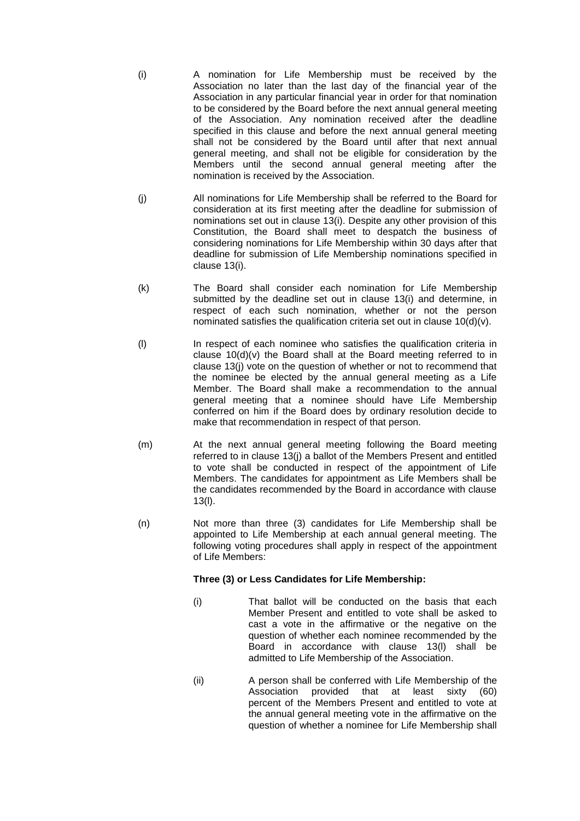- (i) A nomination for Life Membership must be received by the Association no later than the last day of the financial year of the Association in any particular financial year in order for that nomination to be considered by the Board before the next annual general meeting of the Association. Any nomination received after the deadline specified in this clause and before the next annual general meeting shall not be considered by the Board until after that next annual general meeting, and shall not be eligible for consideration by the Members until the second annual general meeting after the nomination is received by the Association.
- (j) All nominations for Life Membership shall be referred to the Board for consideration at its first meeting after the deadline for submission of nominations set out in clause 13(i). Despite any other provision of this Constitution, the Board shall meet to despatch the business of considering nominations for Life Membership within 30 days after that deadline for submission of Life Membership nominations specified in clause 13(i).
- (k) The Board shall consider each nomination for Life Membership submitted by the deadline set out in clause 13(i) and determine, in respect of each such nomination, whether or not the person nominated satisfies the qualification criteria set out in clause  $10(d)(v)$ .
- (l) In respect of each nominee who satisfies the qualification criteria in clause 10(d)(v) the Board shall at the Board meeting referred to in clause 13(j) vote on the question of whether or not to recommend that the nominee be elected by the annual general meeting as a Life Member. The Board shall make a recommendation to the annual general meeting that a nominee should have Life Membership conferred on him if the Board does by ordinary resolution decide to make that recommendation in respect of that person.
- (m) At the next annual general meeting following the Board meeting referred to in clause 13(i) a ballot of the Members Present and entitled to vote shall be conducted in respect of the appointment of Life Members. The candidates for appointment as Life Members shall be the candidates recommended by the Board in accordance with clause 13(l).
- (n) Not more than three (3) candidates for Life Membership shall be appointed to Life Membership at each annual general meeting. The following voting procedures shall apply in respect of the appointment of Life Members:

## **Three (3) or Less Candidates for Life Membership:**

- (i) That ballot will be conducted on the basis that each Member Present and entitled to vote shall be asked to cast a vote in the affirmative or the negative on the question of whether each nominee recommended by the Board in accordance with clause 13(l) shall be admitted to Life Membership of the Association.
- (ii) A person shall be conferred with Life Membership of the Association provided that at least sixty (60) percent of the Members Present and entitled to vote at the annual general meeting vote in the affirmative on the question of whether a nominee for Life Membership shall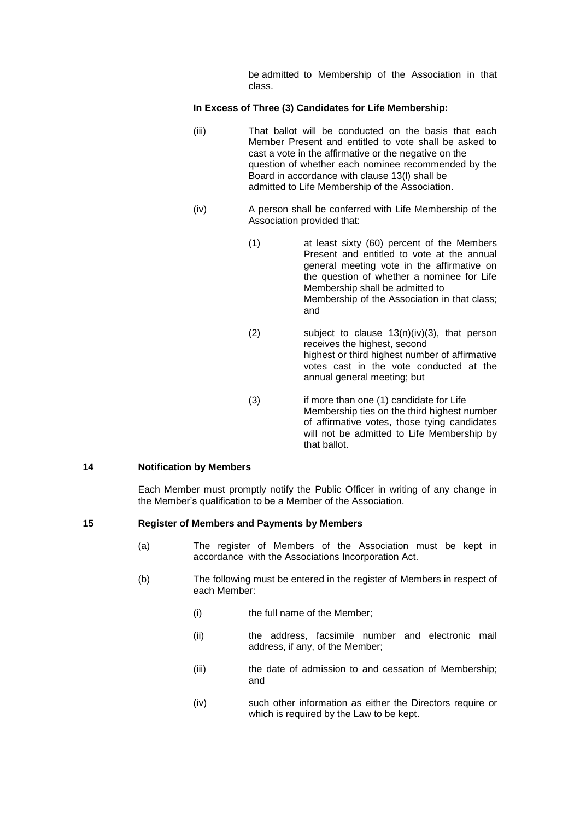be admitted to Membership of the Association in that class.

### **In Excess of Three (3) Candidates for Life Membership:**

- (iii) That ballot will be conducted on the basis that each Member Present and entitled to vote shall be asked to cast a vote in the affirmative or the negative on the question of whether each nominee recommended by the Board in accordance with clause 13(l) shall be admitted to Life Membership of the Association.
- (iv) A person shall be conferred with Life Membership of the Association provided that:
	- (1) at least sixty (60) percent of the Members Present and entitled to vote at the annual general meeting vote in the affirmative on the question of whether a nominee for Life Membership shall be admitted to Membership of the Association in that class; and
	- (2) subject to clause 13(n)(iv)(3), that person receives the highest, second highest or third highest number of affirmative votes cast in the vote conducted at the annual general meeting; but
	- (3) if more than one (1) candidate for Life Membership ties on the third highest number of affirmative votes, those tying candidates will not be admitted to Life Membership by that ballot.

#### **14 Notification by Members**

Each Member must promptly notify the Public Officer in writing of any change in the Member's qualification to be a Member of the Association.

#### **15 Register of Members and Payments by Members**

- (a) The register of Members of the Association must be kept in accordance with the Associations Incorporation Act.
- (b) The following must be entered in the register of Members in respect of each Member:
	- (i) the full name of the Member;
	- (ii) the address, facsimile number and electronic mail address, if any, of the Member;
	- (iii) the date of admission to and cessation of Membership; and
	- (iv) such other information as either the Directors require or which is required by the Law to be kept.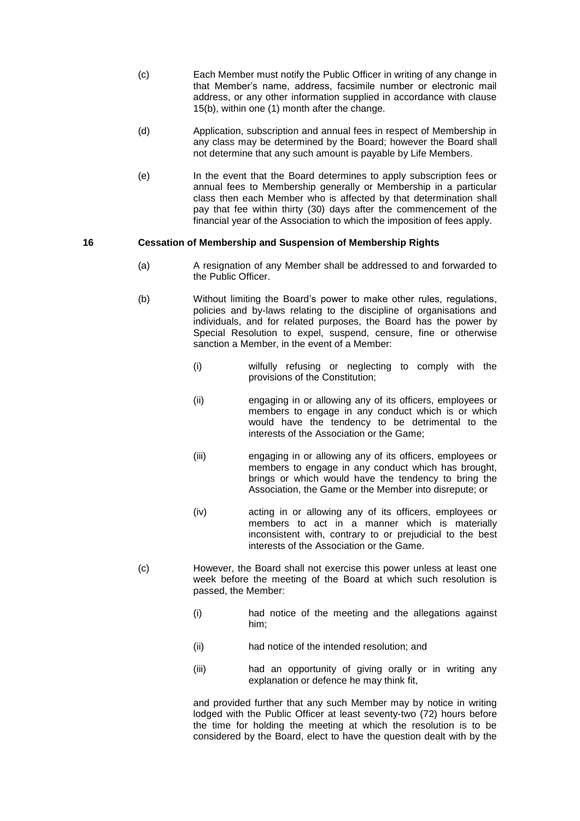- (c) Each Member must notify the Public Officer in writing of any change in that Member's name, address, facsimile number or electronic mail address, or any other information supplied in accordance with clause 15(b), within one (1) month after the change.
- (d) Application, subscription and annual fees in respect of Membership in any class may be determined by the Board; however the Board shall not determine that any such amount is payable by Life Members.
- (e) In the event that the Board determines to apply subscription fees or annual fees to Membership generally or Membership in a particular class then each Member who is affected by that determination shall pay that fee within thirty (30) days after the commencement of the financial year of the Association to which the imposition of fees apply.

#### **16 Cessation of Membership and Suspension of Membership Rights**

- (a) A resignation of any Member shall be addressed to and forwarded to the Public Officer.
- (b) Without limiting the Board's power to make other rules, regulations, policies and by-laws relating to the discipline of organisations and individuals, and for related purposes, the Board has the power by Special Resolution to expel, suspend, censure, fine or otherwise sanction a Member, in the event of a Member:
	- (i) wilfully refusing or neglecting to comply with the provisions of the Constitution;
	- (ii) engaging in or allowing any of its officers, employees or members to engage in any conduct which is or which would have the tendency to be detrimental to the interests of the Association or the Game;
	- (iii) engaging in or allowing any of its officers, employees or members to engage in any conduct which has brought, brings or which would have the tendency to bring the Association, the Game or the Member into disrepute; or
	- (iv) acting in or allowing any of its officers, employees or members to act in a manner which is materially inconsistent with, contrary to or prejudicial to the best interests of the Association or the Game.
- (c) However, the Board shall not exercise this power unless at least one week before the meeting of the Board at which such resolution is passed, the Member:
	- (i) had notice of the meeting and the allegations against him;
	- (ii) had notice of the intended resolution; and
	- (iii) had an opportunity of giving orally or in writing any explanation or defence he may think fit,

and provided further that any such Member may by notice in writing lodged with the Public Officer at least seventy-two (72) hours before the time for holding the meeting at which the resolution is to be considered by the Board, elect to have the question dealt with by the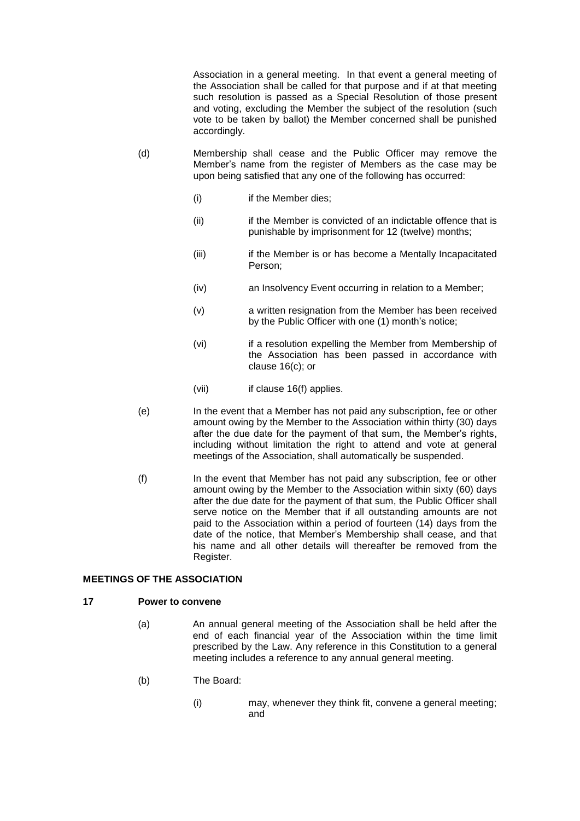Association in a general meeting. In that event a general meeting of the Association shall be called for that purpose and if at that meeting such resolution is passed as a Special Resolution of those present and voting, excluding the Member the subject of the resolution (such vote to be taken by ballot) the Member concerned shall be punished accordingly.

- (d) Membership shall cease and the Public Officer may remove the Member's name from the register of Members as the case may be upon being satisfied that any one of the following has occurred:
	- (i) if the Member dies;
	- (ii) if the Member is convicted of an indictable offence that is punishable by imprisonment for 12 (twelve) months;
	- (iii) if the Member is or has become a Mentally Incapacitated Person;
	- (iv) an Insolvency Event occurring in relation to a Member;
	- (v) a written resignation from the Member has been received by the Public Officer with one (1) month's notice;
	- (vi) if a resolution expelling the Member from Membership of the Association has been passed in accordance with clause 16(c); or
	- (vii) if clause 16(f) applies.
- (e) In the event that a Member has not paid any subscription, fee or other amount owing by the Member to the Association within thirty (30) days after the due date for the payment of that sum, the Member's rights, including without limitation the right to attend and vote at general meetings of the Association, shall automatically be suspended.
- (f) In the event that Member has not paid any subscription, fee or other amount owing by the Member to the Association within sixty (60) days after the due date for the payment of that sum, the Public Officer shall serve notice on the Member that if all outstanding amounts are not paid to the Association within a period of fourteen (14) days from the date of the notice, that Member's Membership shall cease, and that his name and all other details will thereafter be removed from the Register.

## **MEETINGS OF THE ASSOCIATION**

#### **17 Power to convene**

- (a) An annual general meeting of the Association shall be held after the end of each financial year of the Association within the time limit prescribed by the Law. Any reference in this Constitution to a general meeting includes a reference to any annual general meeting.
- (b) The Board:
	- (i) may, whenever they think fit, convene a general meeting; and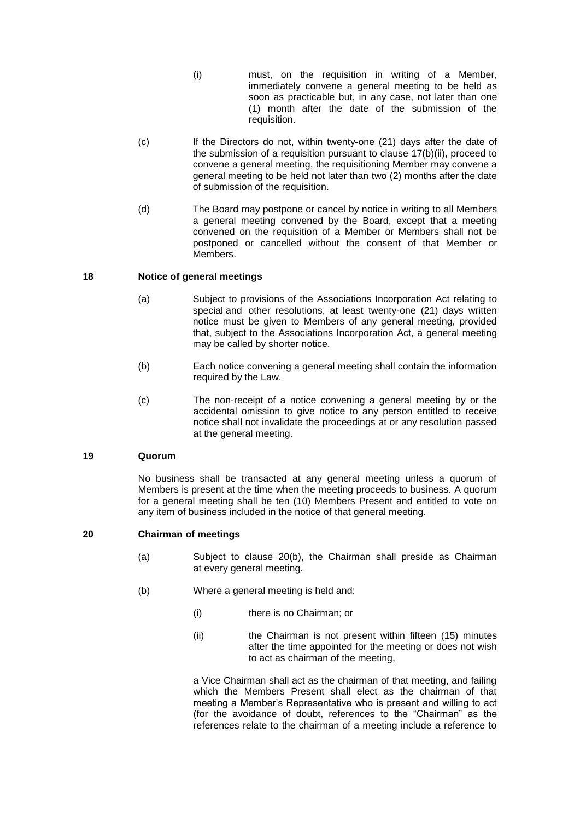- (i) must, on the requisition in writing of a Member, immediately convene a general meeting to be held as soon as practicable but, in any case, not later than one (1) month after the date of the submission of the requisition.
- (c) If the Directors do not, within twenty-one (21) days after the date of the submission of a requisition pursuant to clause 17(b)(ii), proceed to convene a general meeting, the requisitioning Member may convene a general meeting to be held not later than two (2) months after the date of submission of the requisition.
- (d) The Board may postpone or cancel by notice in writing to all Members a general meeting convened by the Board, except that a meeting convened on the requisition of a Member or Members shall not be postponed or cancelled without the consent of that Member or Members.

### **18 Notice of general meetings**

- (a) Subject to provisions of the Associations Incorporation Act relating to special and other resolutions, at least twenty-one (21) days written notice must be given to Members of any general meeting, provided that, subject to the Associations Incorporation Act, a general meeting may be called by shorter notice.
- (b) Each notice convening a general meeting shall contain the information required by the Law.
- (c) The non-receipt of a notice convening a general meeting by or the accidental omission to give notice to any person entitled to receive notice shall not invalidate the proceedings at or any resolution passed at the general meeting.

### **19 Quorum**

No business shall be transacted at any general meeting unless a quorum of Members is present at the time when the meeting proceeds to business. A quorum for a general meeting shall be ten (10) Members Present and entitled to vote on any item of business included in the notice of that general meeting.

## **20 Chairman of meetings**

- (a) Subject to clause 20(b), the Chairman shall preside as Chairman at every general meeting.
- (b) Where a general meeting is held and:
	- (i) there is no Chairman; or
	- (ii) the Chairman is not present within fifteen (15) minutes after the time appointed for the meeting or does not wish to act as chairman of the meeting,

a Vice Chairman shall act as the chairman of that meeting, and failing which the Members Present shall elect as the chairman of that meeting a Member's Representative who is present and willing to act (for the avoidance of doubt, references to the "Chairman" as the references relate to the chairman of a meeting include a reference to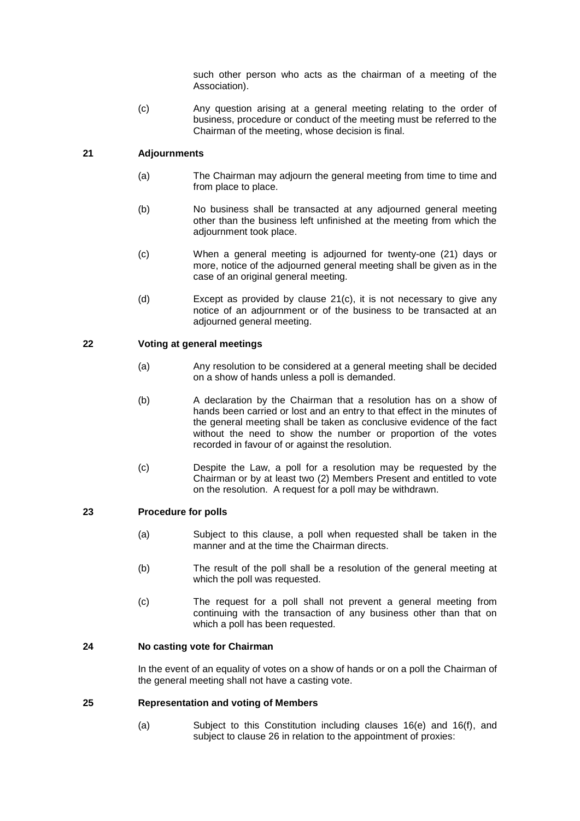such other person who acts as the chairman of a meeting of the Association).

(c) Any question arising at a general meeting relating to the order of business, procedure or conduct of the meeting must be referred to the Chairman of the meeting, whose decision is final.

## **21 Adjournments**

- (a) The Chairman may adjourn the general meeting from time to time and from place to place.
- (b) No business shall be transacted at any adjourned general meeting other than the business left unfinished at the meeting from which the adjournment took place.
- (c) When a general meeting is adjourned for twenty-one (21) days or more, notice of the adjourned general meeting shall be given as in the case of an original general meeting.
- (d) Except as provided by clause 21(c), it is not necessary to give any notice of an adjournment or of the business to be transacted at an adiourned general meeting.

## **22 Voting at general meetings**

- (a) Any resolution to be considered at a general meeting shall be decided on a show of hands unless a poll is demanded.
- (b) A declaration by the Chairman that a resolution has on a show of hands been carried or lost and an entry to that effect in the minutes of the general meeting shall be taken as conclusive evidence of the fact without the need to show the number or proportion of the votes recorded in favour of or against the resolution.
- (c) Despite the Law, a poll for a resolution may be requested by the Chairman or by at least two (2) Members Present and entitled to vote on the resolution. A request for a poll may be withdrawn.

## **23 Procedure for polls**

- (a) Subject to this clause, a poll when requested shall be taken in the manner and at the time the Chairman directs.
- (b) The result of the poll shall be a resolution of the general meeting at which the poll was requested.
- (c) The request for a poll shall not prevent a general meeting from continuing with the transaction of any business other than that on which a poll has been requested.

## **24 No casting vote for Chairman**

In the event of an equality of votes on a show of hands or on a poll the Chairman of the general meeting shall not have a casting vote.

## **25 Representation and voting of Members**

(a) Subject to this Constitution including clauses 16(e) and 16(f), and subject to clause 26 in relation to the appointment of proxies: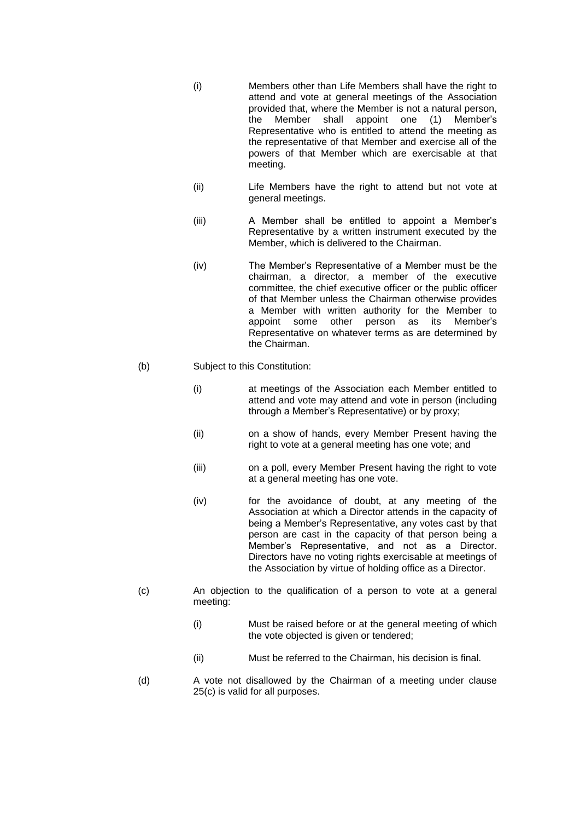- (i) Members other than Life Members shall have the right to attend and vote at general meetings of the Association provided that, where the Member is not a natural person, the Member shall appoint one (1) Member's Representative who is entitled to attend the meeting as the representative of that Member and exercise all of the powers of that Member which are exercisable at that meeting.
- (ii) Life Members have the right to attend but not vote at general meetings.
- (iii) A Member shall be entitled to appoint a Member's Representative by a written instrument executed by the Member, which is delivered to the Chairman.
- (iv) The Member's Representative of a Member must be the chairman, a director, a member of the executive committee, the chief executive officer or the public officer of that Member unless the Chairman otherwise provides a Member with written authority for the Member to appoint some other person as its Member's Representative on whatever terms as are determined by the Chairman.

#### (b) Subject to this Constitution:

- (i) at meetings of the Association each Member entitled to attend and vote may attend and vote in person (including through a Member's Representative) or by proxy;
	- (ii) on a show of hands, every Member Present having the right to vote at a general meeting has one vote; and
	- (iii) on a poll, every Member Present having the right to vote at a general meeting has one vote.
- (iv) for the avoidance of doubt, at any meeting of the Association at which a Director attends in the capacity of being a Member's Representative, any votes cast by that person are cast in the capacity of that person being a Member's Representative, and not as a Director. Directors have no voting rights exercisable at meetings of the Association by virtue of holding office as a Director.
- (c) An objection to the qualification of a person to vote at a general meeting:
	- (i) Must be raised before or at the general meeting of which the vote objected is given or tendered;
	- (ii) Must be referred to the Chairman, his decision is final.
- (d) A vote not disallowed by the Chairman of a meeting under clause 25(c) is valid for all purposes.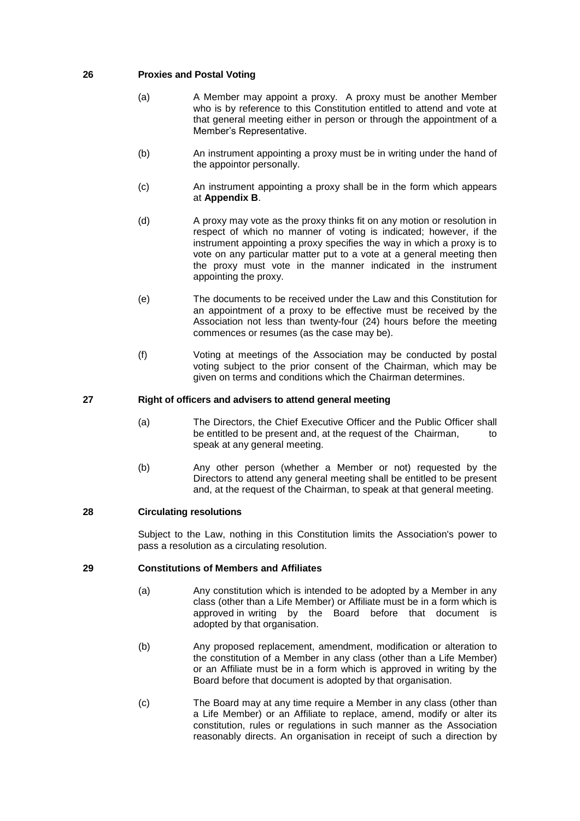### **26 Proxies and Postal Voting**

- (a) A Member may appoint a proxy. A proxy must be another Member who is by reference to this Constitution entitled to attend and vote at that general meeting either in person or through the appointment of a Member's Representative.
- (b) An instrument appointing a proxy must be in writing under the hand of the appointor personally.
- (c) An instrument appointing a proxy shall be in the form which appears at **Appendix B**.
- (d) A proxy may vote as the proxy thinks fit on any motion or resolution in respect of which no manner of voting is indicated; however, if the instrument appointing a proxy specifies the way in which a proxy is to vote on any particular matter put to a vote at a general meeting then the proxy must vote in the manner indicated in the instrument appointing the proxy.
- (e) The documents to be received under the Law and this Constitution for an appointment of a proxy to be effective must be received by the Association not less than twenty-four (24) hours before the meeting commences or resumes (as the case may be).
- (f) Voting at meetings of the Association may be conducted by postal voting subject to the prior consent of the Chairman, which may be given on terms and conditions which the Chairman determines.

### **27 Right of officers and advisers to attend general meeting**

- (a) The Directors, the Chief Executive Officer and the Public Officer shall be entitled to be present and, at the request of the Chairman, to speak at any general meeting.
- (b) Any other person (whether a Member or not) requested by the Directors to attend any general meeting shall be entitled to be present and, at the request of the Chairman, to speak at that general meeting.

#### **28 Circulating resolutions**

Subject to the Law, nothing in this Constitution limits the Association's power to pass a resolution as a circulating resolution.

# **29 Constitutions of Members and Affiliates**

- (a) Any constitution which is intended to be adopted by a Member in any class (other than a Life Member) or Affiliate must be in a form which is approved in writing by the Board before that document is adopted by that organisation.
- (b) Any proposed replacement, amendment, modification or alteration to the constitution of a Member in any class (other than a Life Member) or an Affiliate must be in a form which is approved in writing by the Board before that document is adopted by that organisation.
- (c) The Board may at any time require a Member in any class (other than a Life Member) or an Affiliate to replace, amend, modify or alter its constitution, rules or regulations in such manner as the Association reasonably directs. An organisation in receipt of such a direction by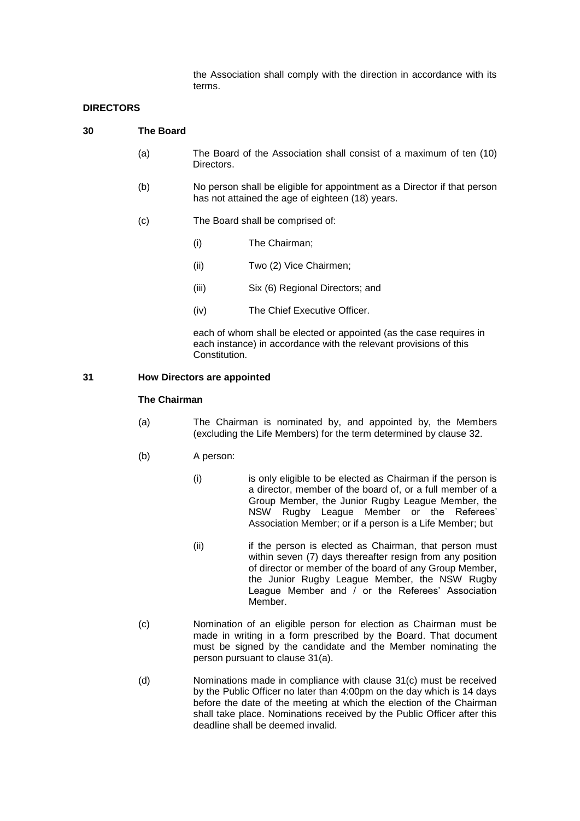the Association shall comply with the direction in accordance with its terms.

### **DIRECTORS**

| 30 | The Board |                                                                                                                              |                                                                     |  |
|----|-----------|------------------------------------------------------------------------------------------------------------------------------|---------------------------------------------------------------------|--|
|    | (a)       | Directors.                                                                                                                   | The Board of the Association shall consist of a maximum of ten (10) |  |
|    | (b)       | No person shall be eligible for appointment as a Director if that person<br>has not attained the age of eighteen (18) years. |                                                                     |  |
|    | (c)       | The Board shall be comprised of:                                                                                             |                                                                     |  |
|    |           | (i)                                                                                                                          | The Chairman;                                                       |  |
|    |           | (ii)                                                                                                                         | Two (2) Vice Chairmen;                                              |  |

- (iii) Six (6) Regional Directors; and
- (iv) The Chief Executive Officer.

each of whom shall be elected or appointed (as the case requires in each instance) in accordance with the relevant provisions of this Constitution.

#### **31 How Directors are appointed**

### **The Chairman**

- (a) The Chairman is nominated by, and appointed by, the Members (excluding the Life Members) for the term determined by clause 32.
- (b) A person:
	- (i) is only eligible to be elected as Chairman if the person is a director, member of the board of, or a full member of a Group Member, the Junior Rugby League Member, the NSW Rugby League Member or the Referees' Association Member; or if a person is a Life Member; but
	- (ii) if the person is elected as Chairman, that person must within seven (7) days thereafter resign from any position of director or member of the board of any Group Member, the Junior Rugby League Member, the NSW Rugby League Member and / or the Referees' Association Member.
- (c) Nomination of an eligible person for election as Chairman must be made in writing in a form prescribed by the Board. That document must be signed by the candidate and the Member nominating the person pursuant to clause 31(a).
- (d) Nominations made in compliance with clause 31(c) must be received by the Public Officer no later than 4:00pm on the day which is 14 days before the date of the meeting at which the election of the Chairman shall take place. Nominations received by the Public Officer after this deadline shall be deemed invalid.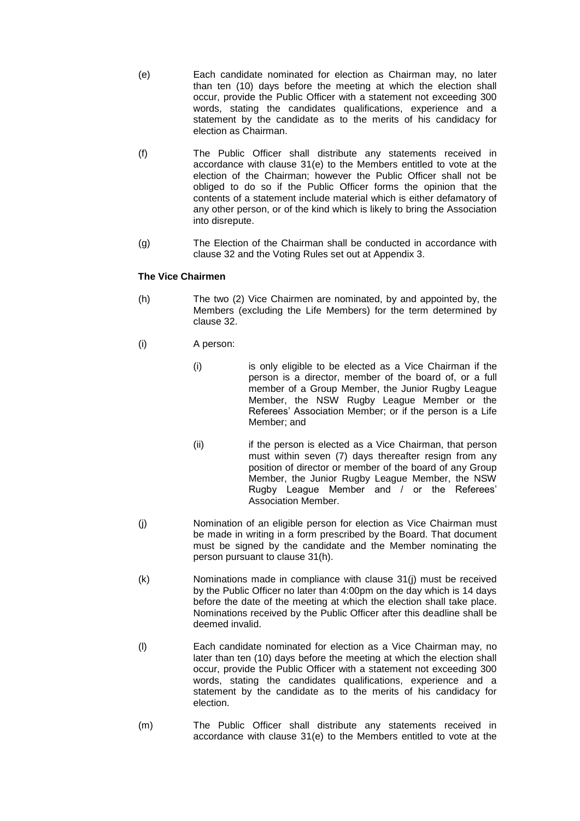- (e) Each candidate nominated for election as Chairman may, no later than ten (10) days before the meeting at which the election shall occur, provide the Public Officer with a statement not exceeding 300 words, stating the candidates qualifications, experience and a statement by the candidate as to the merits of his candidacy for election as Chairman.
- (f) The Public Officer shall distribute any statements received in accordance with clause 31(e) to the Members entitled to vote at the election of the Chairman; however the Public Officer shall not be obliged to do so if the Public Officer forms the opinion that the contents of a statement include material which is either defamatory of any other person, or of the kind which is likely to bring the Association into disrepute.
- (g) The Election of the Chairman shall be conducted in accordance with clause 32 and the Voting Rules set out at Appendix 3.

### **The Vice Chairmen**

- (h) The two (2) Vice Chairmen are nominated, by and appointed by, the Members (excluding the Life Members) for the term determined by clause 32.
- (i) A person:
	- (i) is only eligible to be elected as a Vice Chairman if the person is a director, member of the board of, or a full member of a Group Member, the Junior Rugby League Member, the NSW Rugby League Member or the Referees' Association Member; or if the person is a Life Member; and
	- (ii) if the person is elected as a Vice Chairman, that person must within seven (7) days thereafter resign from any position of director or member of the board of any Group Member, the Junior Rugby League Member, the NSW Rugby League Member and / or the Referees' Association Member.
- (j) Nomination of an eligible person for election as Vice Chairman must be made in writing in a form prescribed by the Board. That document must be signed by the candidate and the Member nominating the person pursuant to clause 31(h).
- (k) Nominations made in compliance with clause 31(j) must be received by the Public Officer no later than 4:00pm on the day which is 14 days before the date of the meeting at which the election shall take place. Nominations received by the Public Officer after this deadline shall be deemed invalid.
- (l) Each candidate nominated for election as a Vice Chairman may, no later than ten (10) days before the meeting at which the election shall occur, provide the Public Officer with a statement not exceeding 300 words, stating the candidates qualifications, experience and a statement by the candidate as to the merits of his candidacy for election.
- (m) The Public Officer shall distribute any statements received in accordance with clause 31(e) to the Members entitled to vote at the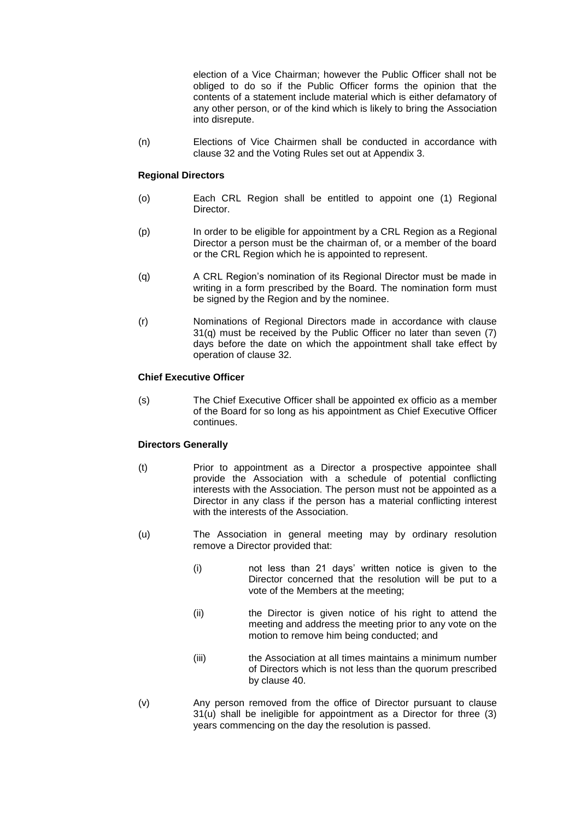election of a Vice Chairman; however the Public Officer shall not be obliged to do so if the Public Officer forms the opinion that the contents of a statement include material which is either defamatory of any other person, or of the kind which is likely to bring the Association into disrepute.

(n) Elections of Vice Chairmen shall be conducted in accordance with clause 32 and the Voting Rules set out at Appendix 3.

### **Regional Directors**

- (o) Each CRL Region shall be entitled to appoint one (1) Regional Director.
- (p) In order to be eligible for appointment by a CRL Region as a Regional Director a person must be the chairman of, or a member of the board or the CRL Region which he is appointed to represent.
- (q) A CRL Region's nomination of its Regional Director must be made in writing in a form prescribed by the Board. The nomination form must be signed by the Region and by the nominee.
- (r) Nominations of Regional Directors made in accordance with clause  $31(q)$  must be received by the Public Officer no later than seven  $(7)$ days before the date on which the appointment shall take effect by operation of clause 32.

### **Chief Executive Officer**

(s) The Chief Executive Officer shall be appointed ex officio as a member of the Board for so long as his appointment as Chief Executive Officer continues.

## **Directors Generally**

- (t) Prior to appointment as a Director a prospective appointee shall provide the Association with a schedule of potential conflicting interests with the Association. The person must not be appointed as a Director in any class if the person has a material conflicting interest with the interests of the Association.
- (u) The Association in general meeting may by ordinary resolution remove a Director provided that:
	- (i) not less than 21 days' written notice is given to the Director concerned that the resolution will be put to a vote of the Members at the meeting;
	- (ii) the Director is given notice of his right to attend the meeting and address the meeting prior to any vote on the motion to remove him being conducted; and
	- (iii) the Association at all times maintains a minimum number of Directors which is not less than the quorum prescribed by clause 40.
- (v) Any person removed from the office of Director pursuant to clause 31(u) shall be ineligible for appointment as a Director for three (3) years commencing on the day the resolution is passed.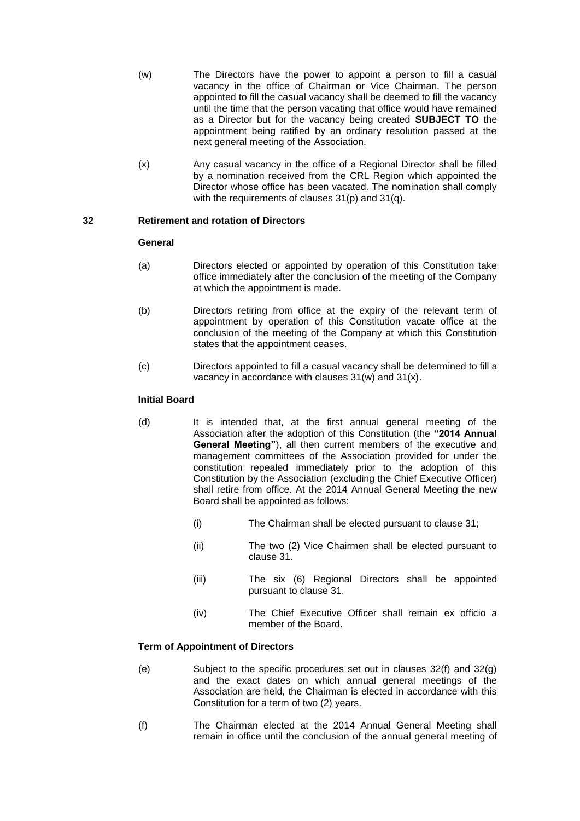- (w) The Directors have the power to appoint a person to fill a casual vacancy in the office of Chairman or Vice Chairman. The person appointed to fill the casual vacancy shall be deemed to fill the vacancy until the time that the person vacating that office would have remained as a Director but for the vacancy being created **SUBJECT TO** the appointment being ratified by an ordinary resolution passed at the next general meeting of the Association.
- (x) Any casual vacancy in the office of a Regional Director shall be filled by a nomination received from the CRL Region which appointed the Director whose office has been vacated. The nomination shall comply with the requirements of clauses 31(p) and 31(q).

### **32 Retirement and rotation of Directors**

#### **General**

- (a) Directors elected or appointed by operation of this Constitution take office immediately after the conclusion of the meeting of the Company at which the appointment is made.
- (b) Directors retiring from office at the expiry of the relevant term of appointment by operation of this Constitution vacate office at the conclusion of the meeting of the Company at which this Constitution states that the appointment ceases.
- (c) Directors appointed to fill a casual vacancy shall be determined to fill a vacancy in accordance with clauses 31(w) and 31(x).

### **Initial Board**

- (d) It is intended that, at the first annual general meeting of the Association after the adoption of this Constitution (the **"2014 Annual General Meeting"**), all then current members of the executive and management committees of the Association provided for under the constitution repealed immediately prior to the adoption of this Constitution by the Association (excluding the Chief Executive Officer) shall retire from office. At the 2014 Annual General Meeting the new Board shall be appointed as follows:
	- (i) The Chairman shall be elected pursuant to clause 31;
	- (ii) The two (2) Vice Chairmen shall be elected pursuant to clause 31.
	- (iii) The six (6) Regional Directors shall be appointed pursuant to clause 31.
	- (iv) The Chief Executive Officer shall remain ex officio a member of the Board.

# **Term of Appointment of Directors**

- (e) Subject to the specific procedures set out in clauses 32(f) and 32(g) and the exact dates on which annual general meetings of the Association are held, the Chairman is elected in accordance with this Constitution for a term of two (2) years.
- (f) The Chairman elected at the 2014 Annual General Meeting shall remain in office until the conclusion of the annual general meeting of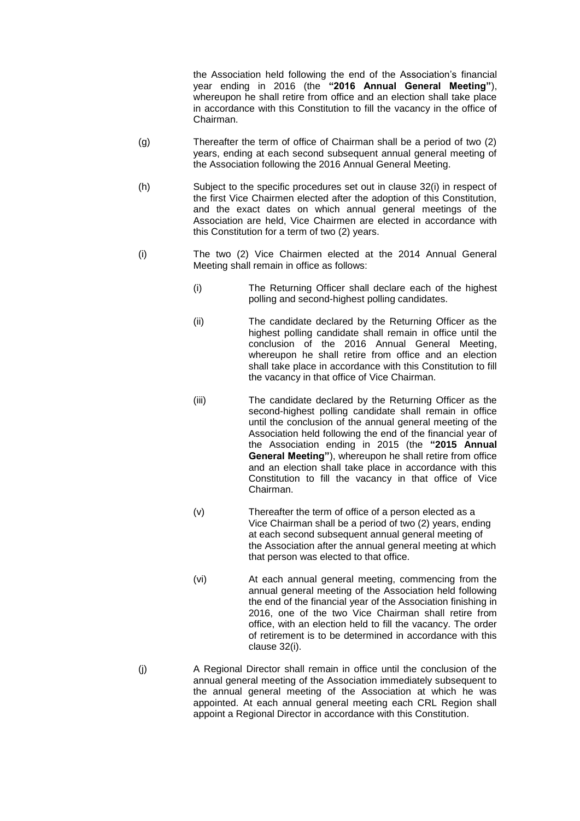the Association held following the end of the Association's financial year ending in 2016 (the **"2016 Annual General Meeting"**), whereupon he shall retire from office and an election shall take place in accordance with this Constitution to fill the vacancy in the office of Chairman.

- (g) Thereafter the term of office of Chairman shall be a period of two (2) years, ending at each second subsequent annual general meeting of the Association following the 2016 Annual General Meeting.
- (h) Subject to the specific procedures set out in clause 32(i) in respect of the first Vice Chairmen elected after the adoption of this Constitution, and the exact dates on which annual general meetings of the Association are held, Vice Chairmen are elected in accordance with this Constitution for a term of two (2) years.
- (i) The two (2) Vice Chairmen elected at the 2014 Annual General Meeting shall remain in office as follows:
	- (i) The Returning Officer shall declare each of the highest polling and second-highest polling candidates.
	- (ii) The candidate declared by the Returning Officer as the highest polling candidate shall remain in office until the conclusion of the 2016 Annual General Meeting, whereupon he shall retire from office and an election shall take place in accordance with this Constitution to fill the vacancy in that office of Vice Chairman.
	- (iii) The candidate declared by the Returning Officer as the second-highest polling candidate shall remain in office until the conclusion of the annual general meeting of the Association held following the end of the financial year of the Association ending in 2015 (the **"2015 Annual General Meeting"**), whereupon he shall retire from office and an election shall take place in accordance with this Constitution to fill the vacancy in that office of Vice Chairman.
	- (v) Thereafter the term of office of a person elected as a Vice Chairman shall be a period of two (2) years, ending at each second subsequent annual general meeting of the Association after the annual general meeting at which that person was elected to that office.
	- (vi) At each annual general meeting, commencing from the annual general meeting of the Association held following the end of the financial year of the Association finishing in 2016, one of the two Vice Chairman shall retire from office, with an election held to fill the vacancy. The order of retirement is to be determined in accordance with this clause 32(i).
- (j) A Regional Director shall remain in office until the conclusion of the annual general meeting of the Association immediately subsequent to the annual general meeting of the Association at which he was appointed. At each annual general meeting each CRL Region shall appoint a Regional Director in accordance with this Constitution.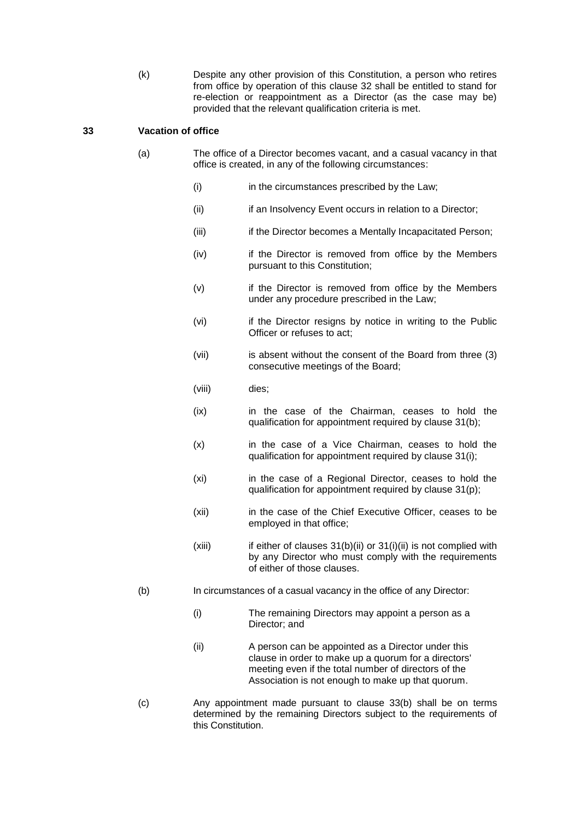(k) Despite any other provision of this Constitution, a person who retires from office by operation of this clause 32 shall be entitled to stand for re-election or reappointment as a Director (as the case may be) provided that the relevant qualification criteria is met.

### **33 Vacation of office**

- (a) The office of a Director becomes vacant, and a casual vacancy in that office is created, in any of the following circumstances:
	- (i) in the circumstances prescribed by the Law;
	- (ii) if an Insolvency Event occurs in relation to a Director;
	- (iii) if the Director becomes a Mentally Incapacitated Person;
	- (iv) if the Director is removed from office by the Members pursuant to this Constitution;
	- (v) if the Director is removed from office by the Members under any procedure prescribed in the Law;
	- (vi) if the Director resigns by notice in writing to the Public Officer or refuses to act;
	- (vii) is absent without the consent of the Board from three (3) consecutive meetings of the Board;
	- (viii) dies;
	- (ix) in the case of the Chairman, ceases to hold the qualification for appointment required by clause 31(b);
	- (x) in the case of a Vice Chairman, ceases to hold the qualification for appointment required by clause 31(i);
	- (xi) in the case of a Regional Director, ceases to hold the qualification for appointment required by clause 31(p);
	- (xii) in the case of the Chief Executive Officer, ceases to be employed in that office;
	- $(xiii)$  if either of clauses  $31(b)(ii)$  or  $31(i)(ii)$  is not complied with by any Director who must comply with the requirements of either of those clauses.
- (b) In circumstances of a casual vacancy in the office of any Director:
	- (i) The remaining [Directors](http://www.austlii.edu.au/au/legis/cth/consol_act/ca2001172/s9.html#director) may appoint a [person](http://www.austlii.edu.au/au/legis/cth/consol_act/ca2001172/s761a.html#person) as a Director; and
	- (ii) A [person](http://www.austlii.edu.au/au/legis/cth/consol_act/ca2001172/s761a.html#person) can be appointed as a Director under this clause in [order](http://www.austlii.edu.au/au/legis/cth/consol_act/ca2001172/s1371.html#order) to make up a quorum for a [directors'](http://www.austlii.edu.au/au/legis/cth/consol_act/ca2001172/s9.html#director) meeting even if the total number of [directors](http://www.austlii.edu.au/au/legis/cth/consol_act/ca2001172/s9.html#director) of the Association is not enough to make up that quorum.
- (c) Any appointment made pursuant to clause 33(b) shall be on terms determined by the remaining Directors subject to the requirements of this Constitution.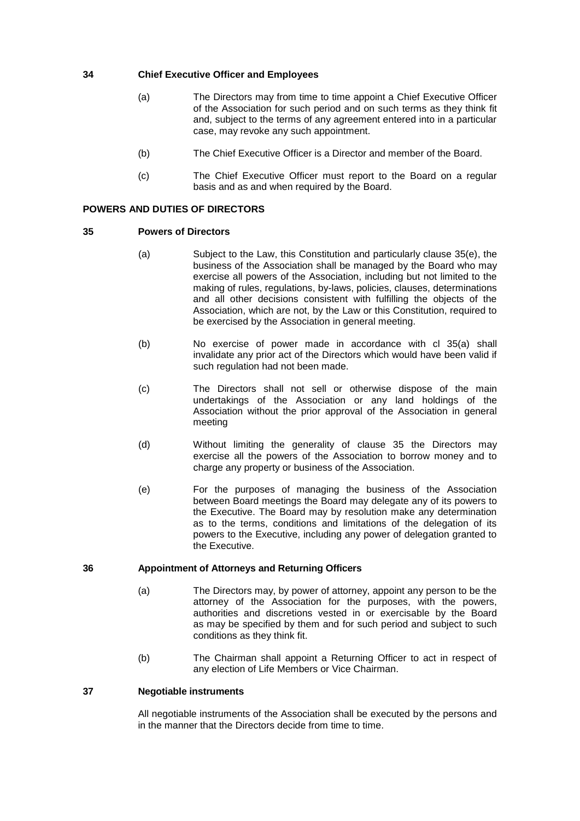### **34 Chief Executive Officer and Employees**

- (a) The Directors may from time to time appoint a Chief Executive Officer of the Association for such period and on such terms as they think fit and, subject to the terms of any agreement entered into in a particular case, may revoke any such appointment.
- (b) The Chief Executive Officer is a Director and member of the Board.
- (c) The Chief Executive Officer must report to the Board on a regular basis and as and when required by the Board.

# **POWERS AND DUTIES OF DIRECTORS**

#### **35 Powers of Directors**

- (a) Subject to the Law, this Constitution and particularly clause 35(e), the business of the Association shall be managed by the Board who may exercise all powers of the Association, including but not limited to the making of rules, regulations, by-laws, policies, clauses, determinations and all other decisions consistent with fulfilling the objects of the Association, which are not, by the Law or this Constitution, required to be exercised by the Association in general meeting.
- (b) No exercise of power made in accordance with cl 35(a) shall invalidate any prior act of the Directors which would have been valid if such regulation had not been made.
- (c) The Directors shall not sell or otherwise dispose of the main undertakings of the Association or any land holdings of the Association without the prior approval of the Association in general meeting
- (d) Without limiting the generality of clause 35 the Directors may exercise all the powers of the Association to borrow money and to charge any property or business of the Association.
- (e) For the purposes of managing the business of the Association between Board meetings the Board may delegate any of its powers to the Executive. The Board may by resolution make any determination as to the terms, conditions and limitations of the delegation of its powers to the Executive, including any power of delegation granted to the Executive.

#### **36 Appointment of Attorneys and Returning Officers**

- (a) The Directors may, by power of attorney, appoint any person to be the attorney of the Association for the purposes, with the powers, authorities and discretions vested in or exercisable by the Board as may be specified by them and for such period and subject to such conditions as they think fit.
- (b) The Chairman shall appoint a Returning Officer to act in respect of any election of Life Members or Vice Chairman.

## **37 Negotiable instruments**

All negotiable instruments of the Association shall be executed by the persons and in the manner that the Directors decide from time to time.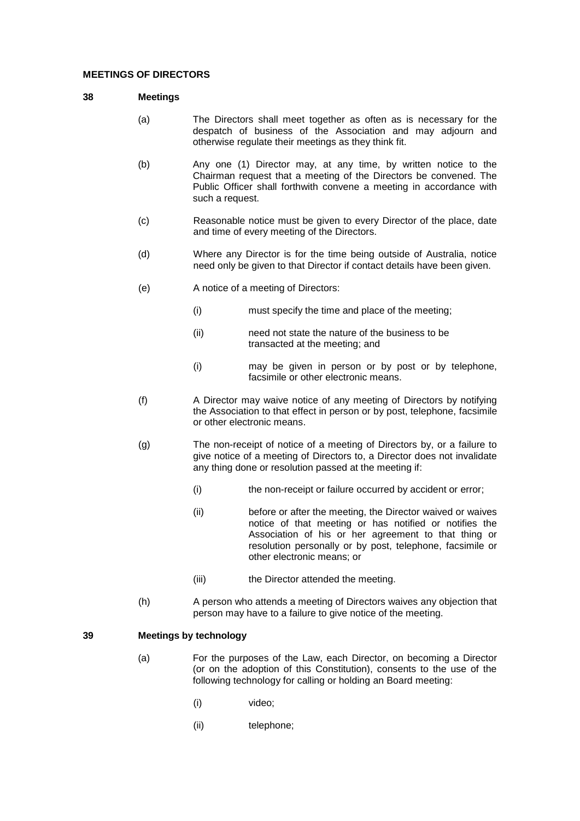#### **MEETINGS OF DIRECTORS**

### **38 Meetings**

- (a) The Directors shall meet together as often as is necessary for the despatch of business of the Association and may adjourn and otherwise regulate their meetings as they think fit.
- (b) Any one (1) Director may, at any time, by written notice to the Chairman request that a meeting of the Directors be convened. The Public Officer shall forthwith convene a meeting in accordance with such a request.
- (c) Reasonable notice must be given to every Director of the place, date and time of every meeting of the Directors.
- (d) Where any Director is for the time being outside of Australia, notice need only be given to that Director if contact details have been given.
- (e) A notice of a meeting of Directors:
	- (i) must specify the time and place of the meeting;
	- (ii) need not state the nature of the business to be transacted at the meeting; and
	- (i) may be given in person or by post or by telephone, facsimile or other electronic means.
- (f) A Director may waive notice of any meeting of Directors by notifying the Association to that effect in person or by post, telephone, facsimile or other electronic means.
- (g) The non-receipt of notice of a meeting of Directors by, or a failure to give notice of a meeting of Directors to, a Director does not invalidate any thing done or resolution passed at the meeting if:
	- (i) the non-receipt or failure occurred by accident or error;
	- (ii) before or after the meeting, the Director waived or waives notice of that meeting or has notified or notifies the Association of his or her agreement to that thing or resolution personally or by post, telephone, facsimile or other electronic means; or
	- (iii) the Director attended the meeting.
- (h) A person who attends a meeting of Directors waives any objection that person may have to a failure to give notice of the meeting.

### **39 Meetings by technology**

- (a) For the purposes of the Law, each Director, on becoming a Director (or on the adoption of this Constitution), consents to the use of the following technology for calling or holding an Board meeting:
	- (i) video;
	- (ii) telephone;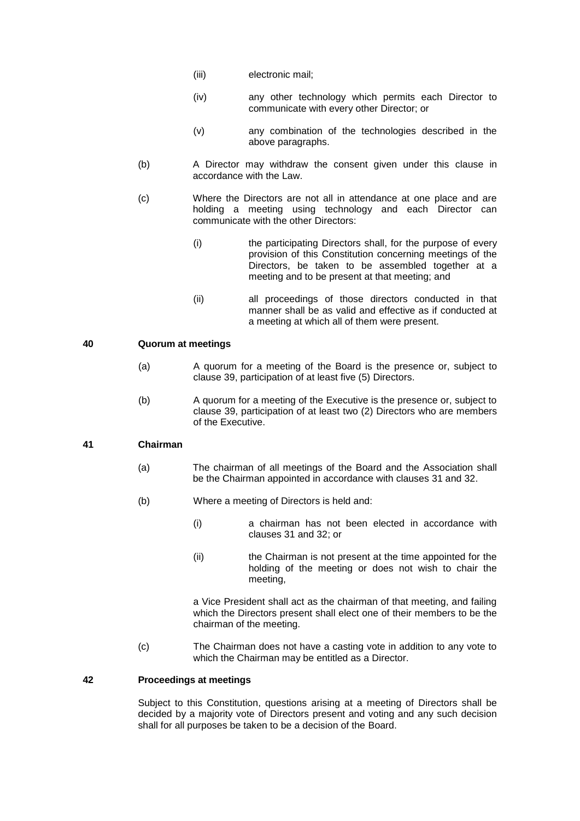- (iii) electronic mail;
- (iv) any other technology which permits each Director to communicate with every other Director; or
- (v) any combination of the technologies described in the above paragraphs.
- (b) A Director may withdraw the consent given under this clause in accordance with the Law.
- (c) Where the Directors are not all in attendance at one place and are holding a meeting using technology and each Director can communicate with the other Directors:
	- (i) the participating Directors shall, for the purpose of every provision of this Constitution concerning meetings of the Directors, be taken to be assembled together at a meeting and to be present at that meeting; and
	- (ii) all proceedings of those directors conducted in that manner shall be as valid and effective as if conducted at a meeting at which all of them were present.

#### **40 Quorum at meetings**

- (a) A quorum for a meeting of the Board is the presence or, subject to clause 39, participation of at least five (5) Directors.
- (b) A quorum for a meeting of the Executive is the presence or, subject to clause 39, participation of at least two (2) Directors who are members of the Executive.

### **41 Chairman**

- (a) The chairman of all meetings of the Board and the Association shall be the Chairman appointed in accordance with clauses 31 and 32.
- (b) Where a meeting of Directors is held and:
	- (i) a chairman has not been elected in accordance with clauses 31 and 32; or
	- (ii) the Chairman is not present at the time appointed for the holding of the meeting or does not wish to chair the meeting,

a Vice President shall act as the chairman of that meeting, and failing which the Directors present shall elect one of their members to be the chairman of the meeting.

(c) The Chairman does not have a casting vote in addition to any vote to which the Chairman may be entitled as a Director.

### **42 Proceedings at meetings**

Subject to this Constitution, questions arising at a meeting of Directors shall be decided by a majority vote of Directors present and voting and any such decision shall for all purposes be taken to be a decision of the Board.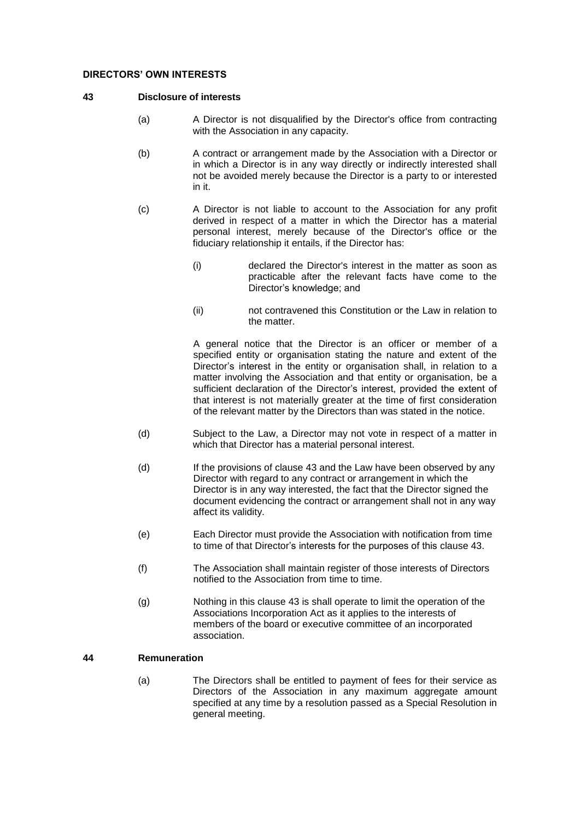#### **DIRECTORS' OWN INTERESTS**

#### **43 Disclosure of interests**

- (a) A Director is not disqualified by the Director's office from contracting with the Association in any capacity.
- (b) A contract or arrangement made by the Association with a Director or in which a Director is in any way directly or indirectly interested shall not be avoided merely because the Director is a party to or interested in it.
- (c) A Director is not liable to account to the Association for any profit derived in respect of a matter in which the Director has a material personal interest, merely because of the Director's office or the fiduciary relationship it entails, if the Director has:
	- (i) declared the Director's interest in the matter as soon as practicable after the relevant facts have come to the Director's knowledge; and
	- (ii) not contravened this Constitution or the Law in relation to the matter.

A general notice that the Director is an officer or member of a specified entity or organisation stating the nature and extent of the Director's interest in the entity or organisation shall, in relation to a matter involving the Association and that entity or organisation, be a sufficient declaration of the Director's interest, provided the extent of that interest is not materially greater at the time of first consideration of the relevant matter by the Directors than was stated in the notice.

- (d) Subject to the Law, a Director may not vote in respect of a matter in which that Director has a material personal interest.
- (d) If the provisions of clause 43 and the Law have been observed by any Director with regard to any contract or arrangement in which the Director is in any way interested, the fact that the Director signed the document evidencing the contract or arrangement shall not in any way affect its validity.
- (e) Each Director must provide the Association with notification from time to time of that Director's interests for the purposes of this clause 43.
- (f) The Association shall maintain register of those interests of Directors notified to the Association from time to time.
- (g) Nothing in this clause 43 is shall operate to limit the operation of the Associations Incorporation Act as it applies to the interests of members of the board or executive committee of an incorporated association.

### **44 Remuneration**

(a) The Directors shall be entitled to payment of fees for their service as Directors of the Association in any maximum aggregate amount specified at any time by a resolution passed as a Special Resolution in general meeting.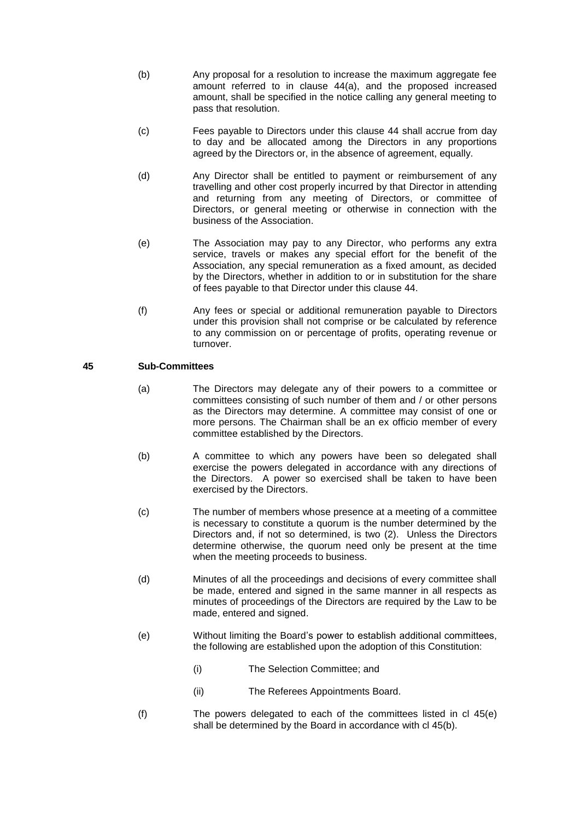- (b) Any proposal for a resolution to increase the maximum aggregate fee amount referred to in clause 44(a), and the proposed increased amount, shall be specified in the notice calling any general meeting to pass that resolution.
- (c) Fees payable to Directors under this clause 44 shall accrue from day to day and be allocated among the Directors in any proportions agreed by the Directors or, in the absence of agreement, equally.
- (d) Any Director shall be entitled to payment or reimbursement of any travelling and other cost properly incurred by that Director in attending and returning from any meeting of Directors, or committee of Directors, or general meeting or otherwise in connection with the business of the Association.
- (e) The Association may pay to any Director, who performs any extra service, travels or makes any special effort for the benefit of the Association, any special remuneration as a fixed amount, as decided by the Directors, whether in addition to or in substitution for the share of fees payable to that Director under this clause 44.
- (f) Any fees or special or additional remuneration payable to Directors under this provision shall not comprise or be calculated by reference to any commission on or percentage of profits, operating revenue or turnover.

## **45 Sub-Committees**

- (a) The Directors may delegate any of their powers to a committee or committees consisting of such number of them and / or other persons as the Directors may determine. A committee may consist of one or more persons. The Chairman shall be an ex officio member of every committee established by the Directors.
- (b) A committee to which any powers have been so delegated shall exercise the powers delegated in accordance with any directions of the Directors. A power so exercised shall be taken to have been exercised by the Directors.
- (c) The number of members whose presence at a meeting of a committee is necessary to constitute a quorum is the number determined by the Directors and, if not so determined, is two (2). Unless the Directors determine otherwise, the quorum need only be present at the time when the meeting proceeds to business.
- (d) Minutes of all the proceedings and decisions of every committee shall be made, entered and signed in the same manner in all respects as minutes of proceedings of the Directors are required by the Law to be made, entered and signed.
- (e) Without limiting the Board's power to establish additional committees, the following are established upon the adoption of this Constitution:
	- (i) The Selection Committee; and
	- (ii) The Referees Appointments Board.
- (f) The powers delegated to each of the committees listed in cl 45(e) shall be determined by the Board in accordance with cl 45(b).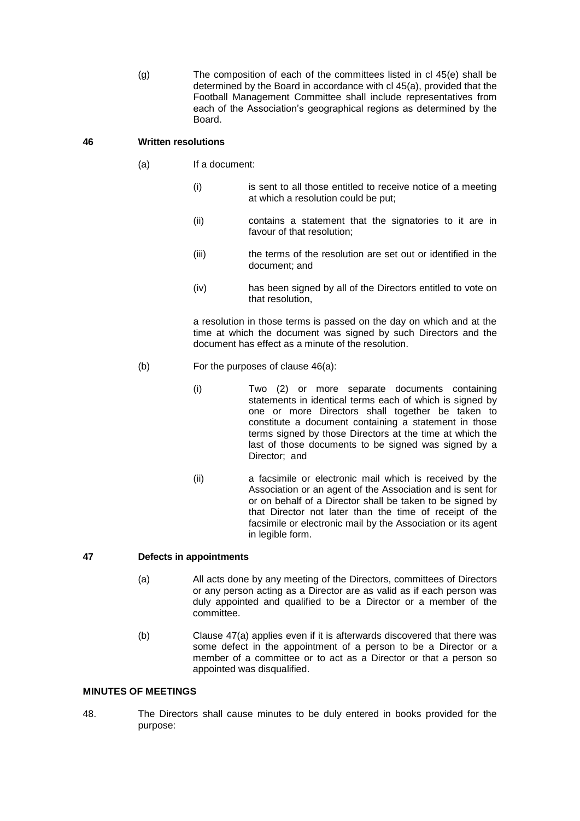(g) The composition of each of the committees listed in cl 45(e) shall be determined by the Board in accordance with cl 45(a), provided that the Football Management Committee shall include representatives from each of the Association's geographical regions as determined by the Board.

### **46 Written resolutions**

- (a) If a document:
	- (i) is sent to all those entitled to receive notice of a meeting at which a resolution could be put;
	- (ii) contains a statement that the signatories to it are in favour of that resolution;
	- (iii) the terms of the resolution are set out or identified in the document; and
	- (iv) has been signed by all of the Directors entitled to vote on that resolution,

a resolution in those terms is passed on the day on which and at the time at which the document was signed by such Directors and the document has effect as a minute of the resolution.

- (b) For the purposes of clause 46(a):
	- (i) Two (2) or more separate documents containing statements in identical terms each of which is signed by one or more Directors shall together be taken to constitute a document containing a statement in those terms signed by those Directors at the time at which the last of those documents to be signed was signed by a Director; and
	- (ii) a facsimile or electronic mail which is received by the Association or an agent of the Association and is sent for or on behalf of a Director shall be taken to be signed by that Director not later than the time of receipt of the facsimile or electronic mail by the Association or its agent in legible form.

## **47 Defects in appointments**

- (a) All acts done by any meeting of the Directors, committees of Directors or any person acting as a Director are as valid as if each person was duly appointed and qualified to be a Director or a member of the committee.
- (b) Clause 47(a) applies even if it is afterwards discovered that there was some defect in the appointment of a person to be a Director or a member of a committee or to act as a Director or that a person so appointed was disqualified.

#### **MINUTES OF MEETINGS**

48. The Directors shall cause minutes to be duly entered in books provided for the purpose: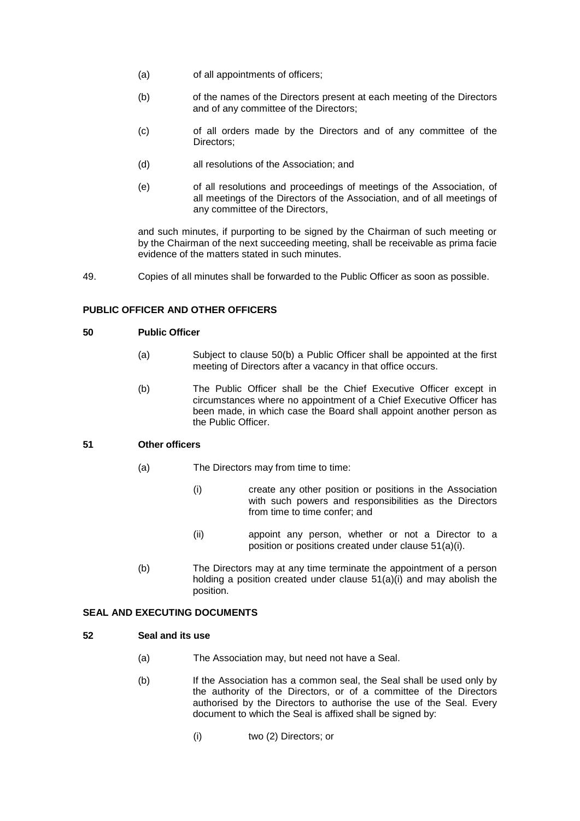- (a) of all appointments of officers;
- (b) of the names of the Directors present at each meeting of the Directors and of any committee of the Directors;
- (c) of all orders made by the Directors and of any committee of the Directors;
- (d) all resolutions of the Association; and
- (e) of all resolutions and proceedings of meetings of the Association, of all meetings of the Directors of the Association, and of all meetings of any committee of the Directors,

and such minutes, if purporting to be signed by the Chairman of such meeting or by the Chairman of the next succeeding meeting, shall be receivable as prima facie evidence of the matters stated in such minutes.

49. Copies of all minutes shall be forwarded to the Public Officer as soon as possible.

## **PUBLIC OFFICER AND OTHER OFFICERS**

### **50 Public Officer**

- (a) Subject to clause 50(b) a Public Officer shall be appointed at the first meeting of Directors after a vacancy in that office occurs.
- (b) The Public Officer shall be the Chief Executive Officer except in circumstances where no appointment of a Chief Executive Officer has been made, in which case the Board shall appoint another person as the Public Officer.

# **51 Other officers**

- (a) The Directors may from time to time:
	- (i) create any other position or positions in the Association with such powers and responsibilities as the Directors from time to time confer; and
	- (ii) appoint any person, whether or not a Director to a position or positions created under clause 51(a)(i).
- (b) The Directors may at any time terminate the appointment of a person holding a position created under clause 51(a)(i) and may abolish the position.

## **SEAL AND EXECUTING DOCUMENTS**

### **52 Seal and its use**

- (a) The Association may, but need not have a Seal.
- (b) If the Association has a common seal, the Seal shall be used only by the authority of the Directors, or of a committee of the Directors authorised by the Directors to authorise the use of the Seal. Every document to which the Seal is affixed shall be signed by:
	- (i) two (2) Directors; or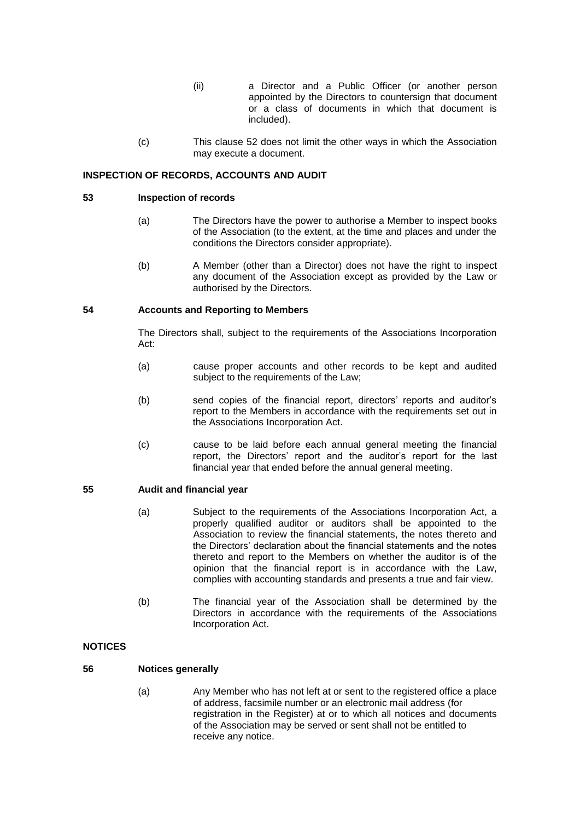- (ii) a Director and a Public Officer (or another person appointed by the Directors to countersign that document or a class of documents in which that document is included).
- (c) This clause 52 does not limit the other ways in which the Association may execute a document.

### **INSPECTION OF RECORDS, ACCOUNTS AND AUDIT**

### **53 Inspection of records**

- (a) The Directors have the power to authorise a Member to inspect books of the Association (to the extent, at the time and places and under the conditions the Directors consider appropriate).
- (b) A Member (other than a Director) does not have the right to inspect any document of the Association except as provided by the Law or authorised by the Directors.

#### **54 Accounts and Reporting to Members**

The Directors shall, subject to the requirements of the Associations Incorporation Act:

- (a) cause proper accounts and other records to be kept and audited subject to the requirements of the Law;
- (b) send copies of the financial report, directors' reports and auditor's report to the Members in accordance with the requirements set out in the Associations Incorporation Act.
- (c) cause to be laid before each annual general meeting the financial report, the Directors' report and the auditor's report for the last financial year that ended before the annual general meeting.

#### **55 Audit and financial year**

- (a) Subject to the requirements of the Associations Incorporation Act, a properly qualified auditor or auditors shall be appointed to the Association to review the financial statements, the notes thereto and the Directors' declaration about the financial statements and the notes thereto and report to the Members on whether the auditor is of the opinion that the financial report is in accordance with the Law, complies with accounting standards and presents a true and fair view.
- (b) The financial year of the Association shall be determined by the Directors in accordance with the requirements of the Associations Incorporation Act.

## **NOTICES**

#### **56 Notices generally**

(a) Any Member who has not left at or sent to the registered office a place of address, facsimile number or an electronic mail address (for registration in the Register) at or to which all notices and documents of the Association may be served or sent shall not be entitled to receive any notice.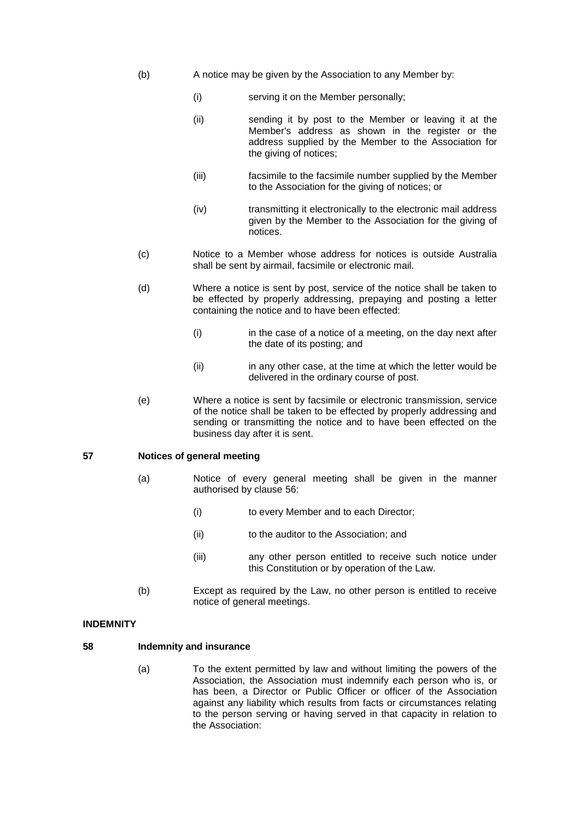- (b) A notice may be given by the Association to any Member by:
	- (i) serving it on the Member personally;
	- (ii) sending it by post to the Member or leaving it at the Member's address as shown in the register or the address supplied by the Member to the Association for the giving of notices;
	- (iii) facsimile to the facsimile number supplied by the Member to the Association for the giving of notices; or
	- (iv) transmitting it electronically to the electronic mail address given by the Member to the Association for the giving of notices.
- (c) Notice to a Member whose address for notices is outside Australia shall be sent by airmail, facsimile or electronic mail.
- (d) Where a notice is sent by post, service of the notice shall be taken to be effected by properly addressing, prepaying and posting a letter containing the notice and to have been effected:
	- (i) in the case of a notice of a meeting, on the day next after the date of its posting; and
	- (ii) in any other case, at the time at which the letter would be delivered in the ordinary course of post.
- (e) Where a notice is sent by facsimile or electronic transmission, service of the notice shall be taken to be effected by properly addressing and sending or transmitting the notice and to have been effected on the business day after it is sent.

### **57 Notices of general meeting**

- (a) Notice of every general meeting shall be given in the manner authorised by clause 56:
	- (i) to every Member and to each Director;
	- (ii) to the auditor to the Association; and
	- (iii) any other person entitled to receive such notice under this Constitution or by operation of the Law.
- (b) Except as required by the Law, no other person is entitled to receive notice of general meetings.

#### **INDEMNITY**

### **58 Indemnity and insurance**

(a) To the extent permitted by law and without limiting the powers of the Association, the Association must indemnify each person who is, or has been, a Director or Public Officer or officer of the Association against any liability which results from facts or circumstances relating to the person serving or having served in that capacity in relation to the Association: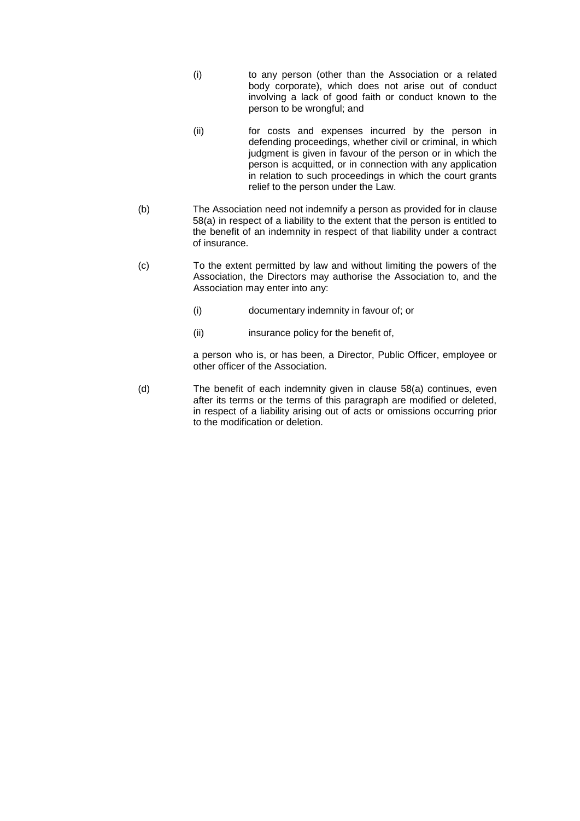- (i) to any person (other than the Association or a related body corporate), which does not arise out of conduct involving a lack of good faith or conduct known to the person to be wrongful; and
- (ii) for costs and expenses incurred by the person in defending proceedings, whether civil or criminal, in which judgment is given in favour of the person or in which the person is acquitted, or in connection with any application in relation to such proceedings in which the court grants relief to the person under the Law.
- (b) The Association need not indemnify a person as provided for in clause 58(a) in respect of a liability to the extent that the person is entitled to the benefit of an indemnity in respect of that liability under a contract of insurance.
- (c) To the extent permitted by law and without limiting the powers of the Association, the Directors may authorise the Association to, and the Association may enter into any:
	- (i) documentary indemnity in favour of; or
	- (ii) insurance policy for the benefit of,

a person who is, or has been, a Director, Public Officer, employee or other officer of the Association.

(d) The benefit of each indemnity given in clause 58(a) continues, even after its terms or the terms of this paragraph are modified or deleted, in respect of a liability arising out of acts or omissions occurring prior to the modification or deletion.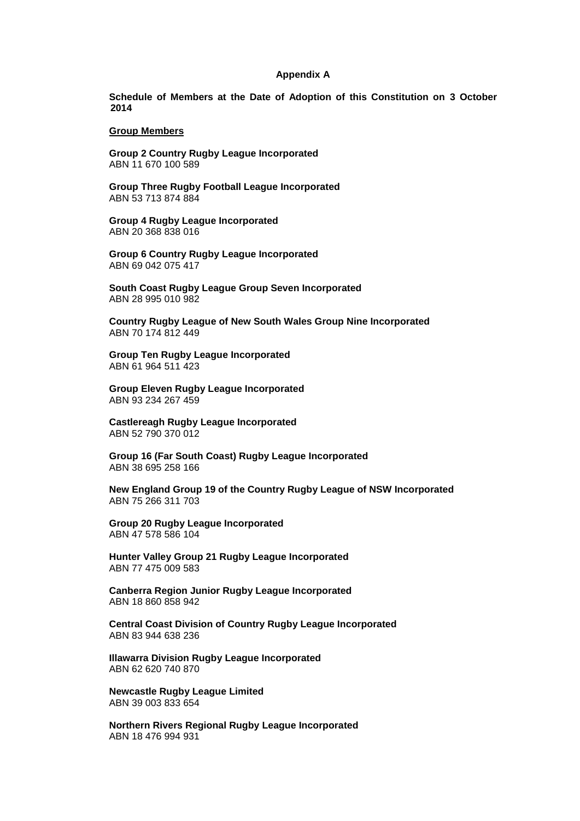#### **Appendix A**

**Schedule of Members at the Date of Adoption of this Constitution on 3 October 2014**

#### **Group Members**

**Group 2 Country Rugby League Incorporated** ABN 11 670 100 589

**Group Three Rugby Football League Incorporated** ABN 53 713 874 884

**Group 4 Rugby League Incorporated** ABN 20 368 838 016

**Group 6 Country Rugby League Incorporated** ABN 69 042 075 417

**South Coast Rugby League Group Seven Incorporated** ABN 28 995 010 982

**Country Rugby League of New South Wales Group Nine Incorporated** ABN 70 174 812 449

**Group Ten Rugby League Incorporated** ABN 61 964 511 423

**Group Eleven Rugby League Incorporated** ABN 93 234 267 459

**Castlereagh Rugby League Incorporated** ABN 52 790 370 012

**Group 16 (Far South Coast) Rugby League Incorporated** ABN 38 695 258 166

**New England Group 19 of the Country Rugby League of NSW Incorporated** ABN 75 266 311 703

**Group 20 Rugby League Incorporated** ABN 47 578 586 104

**Hunter Valley Group 21 Rugby League Incorporated** ABN 77 475 009 583

**Canberra Region Junior Rugby League Incorporated** ABN 18 860 858 942

**Central Coast Division of Country Rugby League Incorporated** ABN 83 944 638 236

**Illawarra Division Rugby League Incorporated** ABN 62 620 740 870

**Newcastle Rugby League Limited** ABN 39 003 833 654

**Northern Rivers Regional Rugby League Incorporated** ABN 18 476 994 931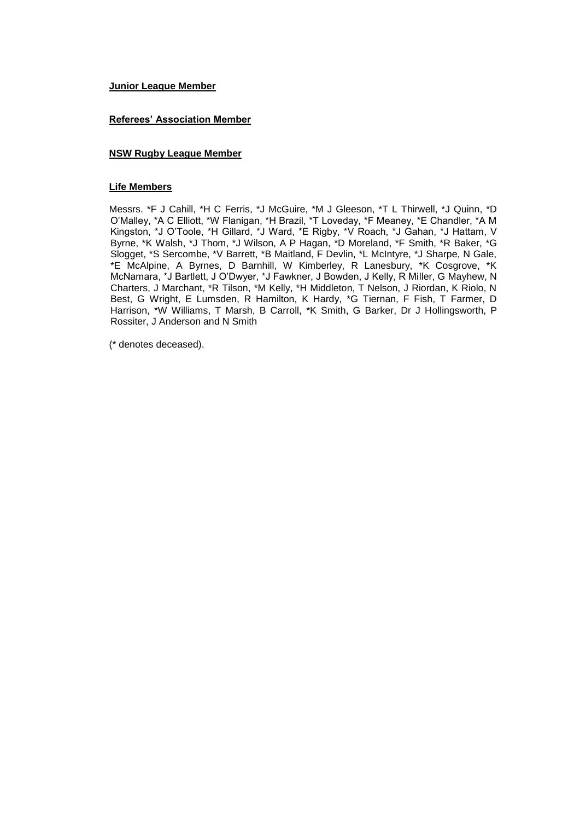### **Junior League Member**

### **Referees' Association Member**

### **NSW Rugby League Member**

### **Life Members**

Messrs. \*F J Cahill, \*H C Ferris, \*J McGuire, \*M J Gleeson, \*T L Thirwell, \*J Quinn, \*D O'Malley, \*A C Elliott, \*W Flanigan, \*H Brazil, \*T Loveday, \*F Meaney, \*E Chandler, \*A M Kingston, \*J O'Toole, \*H Gillard, \*J Ward, \*E Rigby, \*V Roach, \*J Gahan, \*J Hattam, V Byrne, \*K Walsh, \*J Thom, \*J Wilson, A P Hagan, \*D Moreland, \*F Smith, \*R Baker, \*G Slogget, \*S Sercombe, \*V Barrett, \*B Maitland, F Devlin, \*L McIntyre, \*J Sharpe, N Gale, \*E McAlpine, A Byrnes, D Barnhill, W Kimberley, R Lanesbury, \*K Cosgrove, \*K McNamara, \*J Bartlett, J O'Dwyer, \*J Fawkner, J Bowden, J Kelly, R Miller, G Mayhew, N Charters, J Marchant, \*R Tilson, \*M Kelly, \*H Middleton, T Nelson, J Riordan, K Riolo, N Best, G Wright, E Lumsden, R Hamilton, K Hardy, \*G Tiernan, F Fish, T Farmer, D Harrison, \*W Williams, T Marsh, B Carroll, \*K Smith, G Barker, Dr J Hollingsworth, P Rossiter, J Anderson and N Smith

(\* denotes deceased).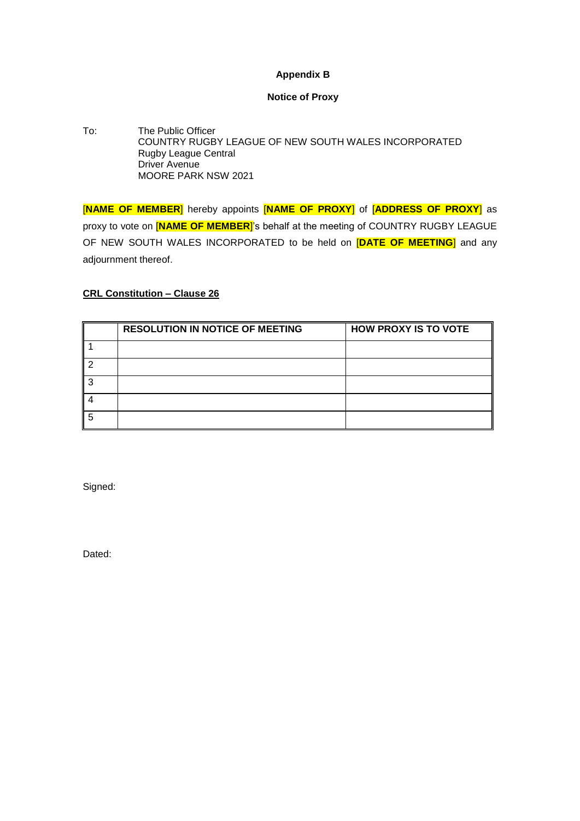# **Appendix B**

# **Notice of Proxy**

To: The Public Officer COUNTRY RUGBY LEAGUE OF NEW SOUTH WALES INCORPORATED Rugby League Central Driver Avenue MOORE PARK NSW 2021

[**NAME OF MEMBER**] hereby appoints [**NAME OF PROXY**] of [**ADDRESS OF PROXY**] as proxy to vote on [**NAME OF MEMBER**]'s behalf at the meeting of COUNTRY RUGBY LEAGUE OF NEW SOUTH WALES INCORPORATED to be held on [**DATE OF MEETING**] and any adjournment thereof.

# **CRL Constitution – Clause 26**

| <b>RESOLUTION IN NOTICE OF MEETING</b> | <b>HOW PROXY IS TO VOTE</b> |
|----------------------------------------|-----------------------------|
|                                        |                             |
|                                        |                             |
|                                        |                             |
|                                        |                             |
|                                        |                             |

Signed:

Dated: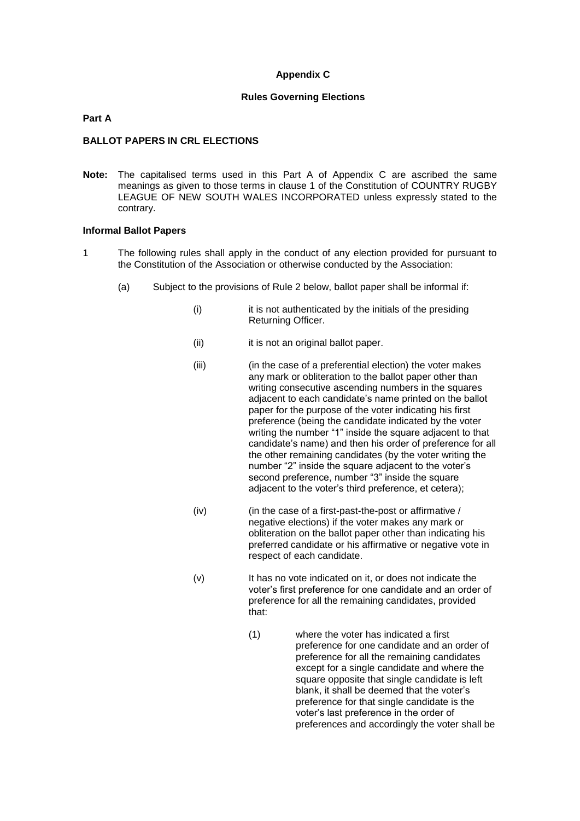### **Appendix C**

#### **Rules Governing Elections**

#### **Part A**

#### **BALLOT PAPERS IN CRL ELECTIONS**

**Note:** The capitalised terms used in this Part A of Appendix C are ascribed the same meanings as given to those terms in clause 1 of the Constitution of COUNTRY RUGBY LEAGUE OF NEW SOUTH WALES INCORPORATED unless expressly stated to the contrary.

#### **Informal Ballot Papers**

- 1 The following rules shall apply in the conduct of any election provided for pursuant to the Constitution of the Association or otherwise conducted by the Association:
	- (a) Subject to the provisions of Rule 2 below, ballot paper shall be informal if:
		- (i) it is not authenticated by the initials of the presiding Returning Officer.
		- (ii) it is not an original ballot paper.
		- (iii) (in the case of a preferential election) the voter makes any mark or obliteration to the ballot paper other than writing consecutive ascending numbers in the squares adjacent to each candidate's name printed on the ballot paper for the purpose of the voter indicating his first preference (being the candidate indicated by the voter writing the number "1" inside the square adjacent to that candidate's name) and then his order of preference for all the other remaining candidates (by the voter writing the number "2" inside the square adjacent to the voter's second preference, number "3" inside the square adjacent to the voter's third preference, et cetera);
		- (iv) (in the case of a first-past-the-post or affirmative / negative elections) if the voter makes any mark or obliteration on the ballot paper other than indicating his preferred candidate or his affirmative or negative vote in respect of each candidate.
		- (v) It has no vote indicated on it, or does not indicate the voter's first preference for one candidate and an order of preference for all the remaining candidates, provided that:
			- (1) where the voter has indicated a first preference for one candidate and an order of preference for all the remaining candidates except for a single candidate and where the square opposite that single candidate is left blank, it shall be deemed that the voter's preference for that single candidate is the voter's last preference in the order of preferences and accordingly the voter shall be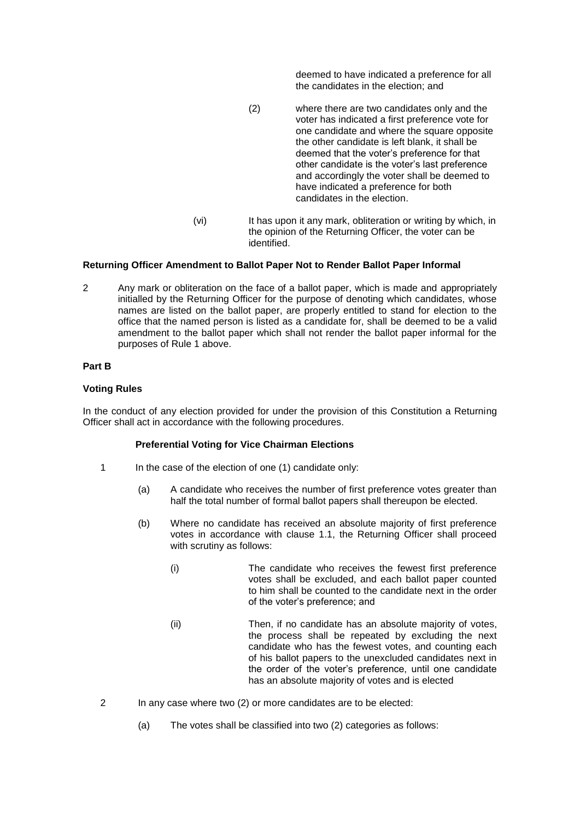deemed to have indicated a preference for all the candidates in the election; and

- (2) where there are two candidates only and the voter has indicated a first preference vote for one candidate and where the square opposite the other candidate is left blank, it shall be deemed that the voter's preference for that other candidate is the voter's last preference and accordingly the voter shall be deemed to have indicated a preference for both candidates in the election.
- (vi) It has upon it any mark, obliteration or writing by which, in the opinion of the Returning Officer, the voter can be identified.

#### **Returning Officer Amendment to Ballot Paper Not to Render Ballot Paper Informal**

2 Any mark or obliteration on the face of a ballot paper, which is made and appropriately initialled by the Returning Officer for the purpose of denoting which candidates, whose names are listed on the ballot paper, are properly entitled to stand for election to the office that the named person is listed as a candidate for, shall be deemed to be a valid amendment to the ballot paper which shall not render the ballot paper informal for the purposes of Rule 1 above.

#### **Part B**

#### **Voting Rules**

In the conduct of any election provided for under the provision of this Constitution a Returning Officer shall act in accordance with the following procedures.

#### **Preferential Voting for Vice Chairman Elections**

- 1 In the case of the election of one (1) candidate only:
	- (a) A candidate who receives the number of first preference votes greater than half the total number of formal ballot papers shall thereupon be elected.
	- (b) Where no candidate has received an absolute majority of first preference votes in accordance with clause 1.1, the Returning Officer shall proceed with scrutiny as follows:
		- (i) The candidate who receives the fewest first preference votes shall be excluded, and each ballot paper counted to him shall be counted to the candidate next in the order of the voter's preference; and
		- (ii) Then, if no candidate has an absolute majority of votes, the process shall be repeated by excluding the next candidate who has the fewest votes, and counting each of his ballot papers to the unexcluded candidates next in the order of the voter's preference, until one candidate has an absolute majority of votes and is elected
- 2 In any case where two (2) or more candidates are to be elected:
	- (a) The votes shall be classified into two (2) categories as follows: